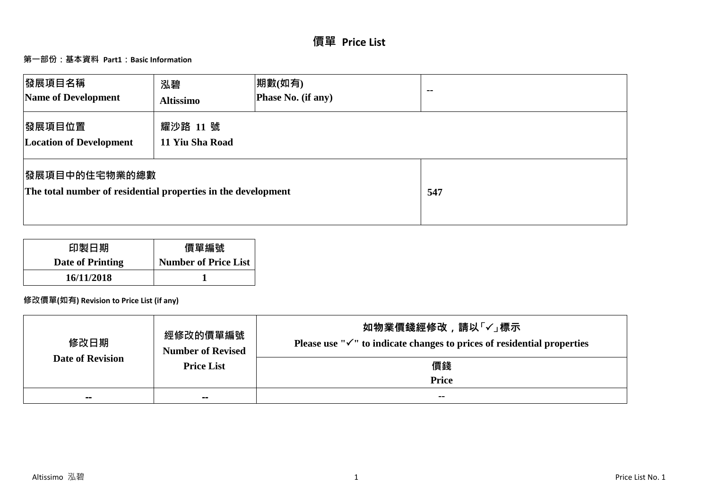# **價單 Price List**

# **第一部份:基本資料 Part1:Basic Information**

| <b> 發展項目名稱</b><br>Name of Development                                                  | 泓碧<br><b>Altissimo</b>      | 期數(如有)<br>Phase No. (if any) | $- -$ |
|----------------------------------------------------------------------------------------|-----------------------------|------------------------------|-------|
| 發展項目位置<br><b>Location of Development</b>                                               | 耀沙路 11 號<br>11 Yiu Sha Road |                              |       |
| <b> 發展項目中的住宅物業的總數</b><br>The total number of residential properties in the development |                             |                              | 547   |

| 印製日期             | 價單編號                        |
|------------------|-----------------------------|
| Date of Printing | <b>Number of Price List</b> |
| 16/11/2018       |                             |

# **修改價單(如有) Revision to Price List (if any)**

| 修改日期                    | 經修改的價單編號<br><b>Number of Revised</b> | 如物業價錢經修改,請以「✓」標示<br>Please use " $\checkmark$ " to indicate changes to prices of residential properties |
|-------------------------|--------------------------------------|---------------------------------------------------------------------------------------------------------|
| <b>Date of Revision</b> | <b>Price List</b>                    | 價錢                                                                                                      |
|                         |                                      | <b>Price</b>                                                                                            |
| $- -$                   | $\sim$                               | $- -$                                                                                                   |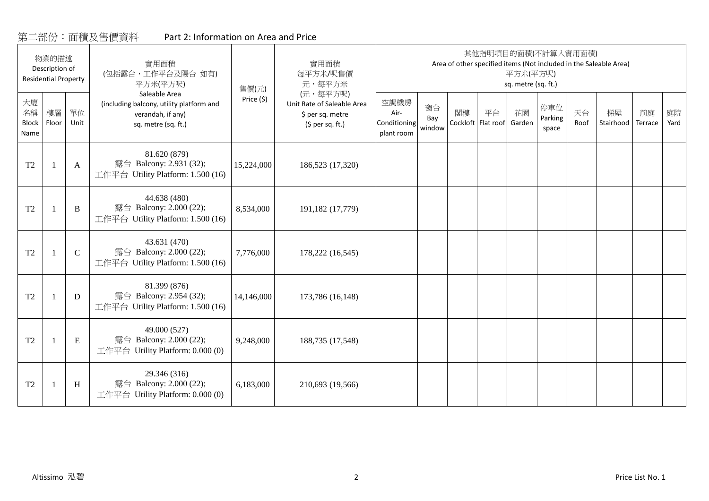# 第二部份:面積及售價資料 Part 2: Information on Area and Price

|                                  | 物業的描述<br>Description of<br><b>Residential Property</b> |             | 實用面積<br>(包括露台,工作平台及陽台如有)<br>平方米(平方呎)                                                                  | 售價(元)      | 實用面積<br>每平方米/呎售價<br>元,每平方米                                                      |                                            |                     |    |                          | 平方米(平方呎)<br>sq. metre (sq. ft.) | 其他指明項目的面積(不計算入實用面積)     |            | Area of other specified items (Not included in the Saleable Area) |               |            |
|----------------------------------|--------------------------------------------------------|-------------|-------------------------------------------------------------------------------------------------------|------------|---------------------------------------------------------------------------------|--------------------------------------------|---------------------|----|--------------------------|---------------------------------|-------------------------|------------|-------------------------------------------------------------------|---------------|------------|
| 大廈<br>名稱<br><b>Block</b><br>Name | 樓層<br>Floor                                            | 單位<br>Unit  | Saleable Area<br>(including balcony, utility platform and<br>verandah, if any)<br>sq. metre (sq. ft.) | Price (\$) | (元,每平方呎)<br>Unit Rate of Saleable Area<br>\$ per sq. metre<br>$(5$ per sq. ft.) | 空調機房<br>Air-<br>Conditioning<br>plant room | 窗台<br>Bay<br>window | 閣樓 | 平台<br>Cockloft Flat roof | 花園<br>Garden                    | 停車位<br>Parking<br>space | 天台<br>Roof | 梯屋<br>Stairhood                                                   | 前庭<br>Terrace | 庭院<br>Yard |
| T <sub>2</sub>                   |                                                        | A           | 81.620 (879)<br>露台 Balcony: 2.931 (32);<br>工作平台 Utility Platform: 1.500 (16)                          | 15,224,000 | 186,523 (17,320)                                                                |                                            |                     |    |                          |                                 |                         |            |                                                                   |               |            |
| T <sub>2</sub>                   |                                                        | B           | 44.638 (480)<br>露台 Balcony: 2.000 (22);<br>工作平台 Utility Platform: 1.500 (16)                          | 8,534,000  | 191,182 (17,779)                                                                |                                            |                     |    |                          |                                 |                         |            |                                                                   |               |            |
| T <sub>2</sub>                   |                                                        | $\mathbf C$ | 43.631 (470)<br>露台 Balcony: 2.000 (22);<br>工作平台 Utility Platform: 1.500 (16)                          | 7,776,000  | 178,222 (16,545)                                                                |                                            |                     |    |                          |                                 |                         |            |                                                                   |               |            |
| T <sub>2</sub>                   |                                                        | D           | 81.399 (876)<br>露台 Balcony: 2.954 (32);<br>工作平台 Utility Platform: 1.500 (16)                          | 14,146,000 | 173,786 (16,148)                                                                |                                            |                     |    |                          |                                 |                         |            |                                                                   |               |            |
| T <sub>2</sub>                   |                                                        | E           | 49.000 (527)<br>露台 Balcony: 2.000 (22);<br>工作平台 Utility Platform: 0.000 (0)                           | 9,248,000  | 188,735 (17,548)                                                                |                                            |                     |    |                          |                                 |                         |            |                                                                   |               |            |
| T <sub>2</sub>                   |                                                        | H           | 29.346 (316)<br>露台 Balcony: 2.000 (22);<br>工作平台 Utility Platform: 0.000 (0)                           | 6,183,000  | 210,693 (19,566)                                                                |                                            |                     |    |                          |                                 |                         |            |                                                                   |               |            |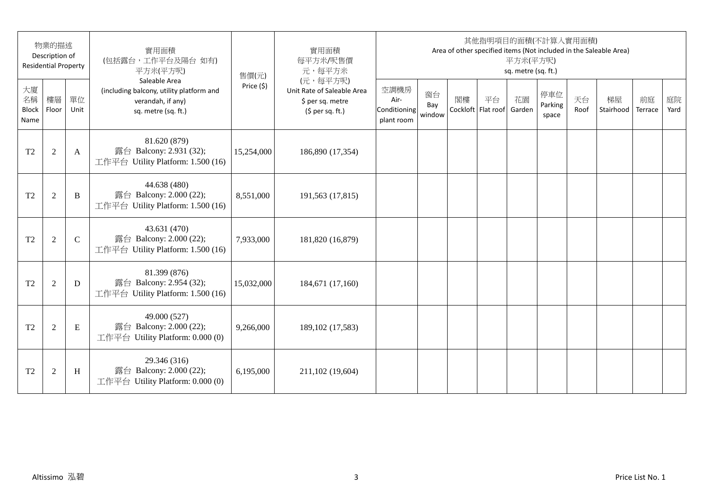|                                  | 物業的描述<br>Description of<br><b>Residential Property</b> |             | 實用面積<br>(包括露台,工作平台及陽台如有)<br>平方米(平方呎)                                                                  | 售價(元)      | 實用面積<br>每平方米/呎售價<br>元,每平方米                                                      |                                            |                     |    |                          | 平方米(平方呎)<br>sq. metre (sq. ft.) | 其他指明項目的面積(不計算入實用面積)     |            | Area of other specified items (Not included in the Saleable Area) |               |            |
|----------------------------------|--------------------------------------------------------|-------------|-------------------------------------------------------------------------------------------------------|------------|---------------------------------------------------------------------------------|--------------------------------------------|---------------------|----|--------------------------|---------------------------------|-------------------------|------------|-------------------------------------------------------------------|---------------|------------|
| 大廈<br>名稱<br><b>Block</b><br>Name | 樓層<br>Floor                                            | 單位<br>Unit  | Saleable Area<br>(including balcony, utility platform and<br>verandah, if any)<br>sq. metre (sq. ft.) | Price (\$) | (元,每平方呎)<br>Unit Rate of Saleable Area<br>\$ per sq. metre<br>$(5$ per sq. ft.) | 空調機房<br>Air-<br>Conditioning<br>plant room | 窗台<br>Bay<br>window | 閣樓 | 平台<br>Cockloft Flat roof | 花園<br>Garden                    | 停車位<br>Parking<br>space | 天台<br>Roof | 梯屋<br>Stairhood                                                   | 前庭<br>Terrace | 庭院<br>Yard |
| T <sub>2</sub>                   | $\overline{2}$                                         | A           | 81.620 (879)<br>露台 Balcony: 2.931 (32);<br>工作平台 Utility Platform: 1.500 (16)                          | 15,254,000 | 186,890 (17,354)                                                                |                                            |                     |    |                          |                                 |                         |            |                                                                   |               |            |
| T <sub>2</sub>                   | $\overline{2}$                                         | B           | 44.638 (480)<br>露台 Balcony: 2.000 (22);<br>工作平台 Utility Platform: 1.500 (16)                          | 8,551,000  | 191,563 (17,815)                                                                |                                            |                     |    |                          |                                 |                         |            |                                                                   |               |            |
| T2                               | $\overline{2}$                                         | $\mathbf C$ | 43.631 (470)<br>露台 Balcony: 2.000 (22);<br>工作平台 Utility Platform: 1.500 (16)                          | 7,933,000  | 181,820 (16,879)                                                                |                                            |                     |    |                          |                                 |                         |            |                                                                   |               |            |
| T <sub>2</sub>                   | $\sqrt{2}$                                             | D           | 81.399 (876)<br>露台 Balcony: 2.954 (32);<br>工作平台 Utility Platform: 1.500 (16)                          | 15,032,000 | 184,671 (17,160)                                                                |                                            |                     |    |                          |                                 |                         |            |                                                                   |               |            |
| T <sub>2</sub>                   | $\overline{2}$                                         | E           | 49.000 (527)<br>露台 Balcony: 2.000 (22);<br>工作平台 Utility Platform: 0.000 (0)                           | 9,266,000  | 189, 102 (17, 583)                                                              |                                            |                     |    |                          |                                 |                         |            |                                                                   |               |            |
| T <sub>2</sub>                   | $\overline{2}$                                         | H           | 29.346 (316)<br>露台 Balcony: 2.000 (22);<br>工作平台 Utility Platform: 0.000 (0)                           | 6,195,000  | 211,102 (19,604)                                                                |                                            |                     |    |                          |                                 |                         |            |                                                                   |               |            |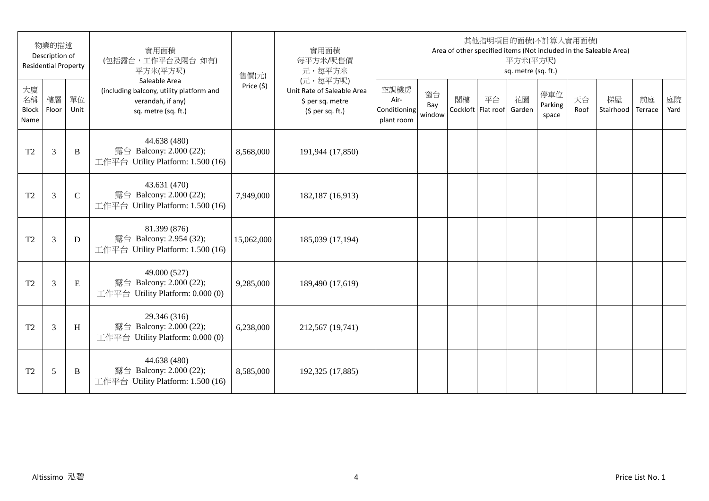|                                  | 物業的描述<br>Description of<br><b>Residential Property</b> |               | 實用面積<br>(包括露台,工作平台及陽台如有)<br>平方米(平方呎)                                                                  | 售價(元)      | 實用面積<br>每平方米/呎售價<br>元,每平方米                                                      |                                            |                     |    |                          | 平方米(平方呎)<br>sq. metre (sq. ft.) | 其他指明項目的面積(不計算入實用面積)     |            | Area of other specified items (Not included in the Saleable Area) |               |            |
|----------------------------------|--------------------------------------------------------|---------------|-------------------------------------------------------------------------------------------------------|------------|---------------------------------------------------------------------------------|--------------------------------------------|---------------------|----|--------------------------|---------------------------------|-------------------------|------------|-------------------------------------------------------------------|---------------|------------|
| 大廈<br>名稱<br><b>Block</b><br>Name | 樓層<br>Floor                                            | 單位<br>Unit    | Saleable Area<br>(including balcony, utility platform and<br>verandah, if any)<br>sq. metre (sq. ft.) | Price (\$) | (元,每平方呎)<br>Unit Rate of Saleable Area<br>\$ per sq. metre<br>$(5$ per sq. ft.) | 空調機房<br>Air-<br>Conditioning<br>plant room | 窗台<br>Bay<br>window | 閣樓 | 平台<br>Cockloft Flat roof | 花園<br>Garden                    | 停車位<br>Parking<br>space | 天台<br>Roof | 梯屋<br>Stairhood                                                   | 前庭<br>Terrace | 庭院<br>Yard |
| T <sub>2</sub>                   | 3                                                      | B             | 44.638 (480)<br>露台 Balcony: 2.000 (22);<br>工作平台 Utility Platform: 1.500 (16)                          | 8,568,000  | 191,944 (17,850)                                                                |                                            |                     |    |                          |                                 |                         |            |                                                                   |               |            |
| T <sub>2</sub>                   | 3                                                      | $\mathcal{C}$ | 43.631 (470)<br>露台 Balcony: 2.000 (22);<br>工作平台 Utility Platform: 1.500 (16)                          | 7,949,000  | 182,187 (16,913)                                                                |                                            |                     |    |                          |                                 |                         |            |                                                                   |               |            |
| T2                               | 3                                                      | D             | 81.399 (876)<br>露台 Balcony: 2.954 (32);<br>工作平台 Utility Platform: 1.500 (16)                          | 15,062,000 | 185,039 (17,194)                                                                |                                            |                     |    |                          |                                 |                         |            |                                                                   |               |            |
| T <sub>2</sub>                   | 3                                                      | ${\bf E}$     | 49.000 (527)<br>露台 Balcony: 2.000 (22);<br>工作平台 Utility Platform: 0.000 (0)                           | 9,285,000  | 189,490 (17,619)                                                                |                                            |                     |    |                          |                                 |                         |            |                                                                   |               |            |
| T <sub>2</sub>                   | 3                                                      | H             | 29.346 (316)<br>露台 Balcony: 2.000 (22);<br>工作平台 Utility Platform: 0.000 (0)                           | 6,238,000  | 212,567 (19,741)                                                                |                                            |                     |    |                          |                                 |                         |            |                                                                   |               |            |
| T <sub>2</sub>                   | 5                                                      | B             | 44.638 (480)<br>露台 Balcony: 2.000 (22);<br>工作平台 Utility Platform: 1.500 (16)                          | 8,585,000  | 192,325 (17,885)                                                                |                                            |                     |    |                          |                                 |                         |            |                                                                   |               |            |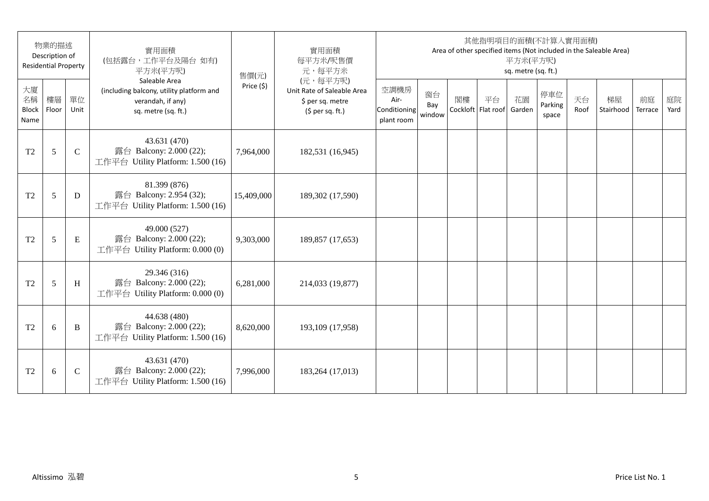|                                  | 物業的描述<br>Description of<br><b>Residential Property</b> |               | 實用面積<br>(包括露台,工作平台及陽台如有)<br>平方米(平方呎)                                                                  | 售價(元)      | 實用面積<br>每平方米/呎售價<br>元,每平方米                                                      |                                            |                     |    |                          | 平方米(平方呎)<br>sq. metre (sq. ft.) | 其他指明項目的面積(不計算入實用面積)     |            | Area of other specified items (Not included in the Saleable Area) |               |            |
|----------------------------------|--------------------------------------------------------|---------------|-------------------------------------------------------------------------------------------------------|------------|---------------------------------------------------------------------------------|--------------------------------------------|---------------------|----|--------------------------|---------------------------------|-------------------------|------------|-------------------------------------------------------------------|---------------|------------|
| 大廈<br>名稱<br><b>Block</b><br>Name | 樓層<br>Floor                                            | 單位<br>Unit    | Saleable Area<br>(including balcony, utility platform and<br>verandah, if any)<br>sq. metre (sq. ft.) | Price (\$) | (元,每平方呎)<br>Unit Rate of Saleable Area<br>\$ per sq. metre<br>$(5$ per sq. ft.) | 空調機房<br>Air-<br>Conditioning<br>plant room | 窗台<br>Bay<br>window | 閣樓 | 平台<br>Cockloft Flat roof | 花園<br>Garden                    | 停車位<br>Parking<br>space | 天台<br>Roof | 梯屋<br>Stairhood                                                   | 前庭<br>Terrace | 庭院<br>Yard |
| T <sub>2</sub>                   | 5                                                      | $\mathcal{C}$ | 43.631 (470)<br>露台 Balcony: 2.000 (22);<br>工作平台 Utility Platform: 1.500 (16)                          | 7,964,000  | 182,531 (16,945)                                                                |                                            |                     |    |                          |                                 |                         |            |                                                                   |               |            |
| T <sub>2</sub>                   | 5                                                      | D             | 81.399 (876)<br>露台 Balcony: 2.954 (32);<br>工作平台 Utility Platform: 1.500 (16)                          | 15,409,000 | 189,302 (17,590)                                                                |                                            |                     |    |                          |                                 |                         |            |                                                                   |               |            |
| T2                               | 5                                                      | E             | 49.000 (527)<br>露台 Balcony: 2.000 (22);<br>工作平台 Utility Platform: 0.000 (0)                           | 9,303,000  | 189,857 (17,653)                                                                |                                            |                     |    |                          |                                 |                         |            |                                                                   |               |            |
| T <sub>2</sub>                   | 5                                                      | H             | 29.346 (316)<br>露台 Balcony: 2.000 (22);<br>工作平台 Utility Platform: 0.000 (0)                           | 6,281,000  | 214,033 (19,877)                                                                |                                            |                     |    |                          |                                 |                         |            |                                                                   |               |            |
| T <sub>2</sub>                   | 6                                                      | B             | 44.638 (480)<br>露台 Balcony: 2.000 (22);<br>工作平台 Utility Platform: 1.500 (16)                          | 8,620,000  | 193,109 (17,958)                                                                |                                            |                     |    |                          |                                 |                         |            |                                                                   |               |            |
| T <sub>2</sub>                   | 6                                                      | $\mathcal{C}$ | 43.631 (470)<br>露台 Balcony: 2.000 (22);<br>工作平台 Utility Platform: 1.500 (16)                          | 7,996,000  | 183,264 (17,013)                                                                |                                            |                     |    |                          |                                 |                         |            |                                                                   |               |            |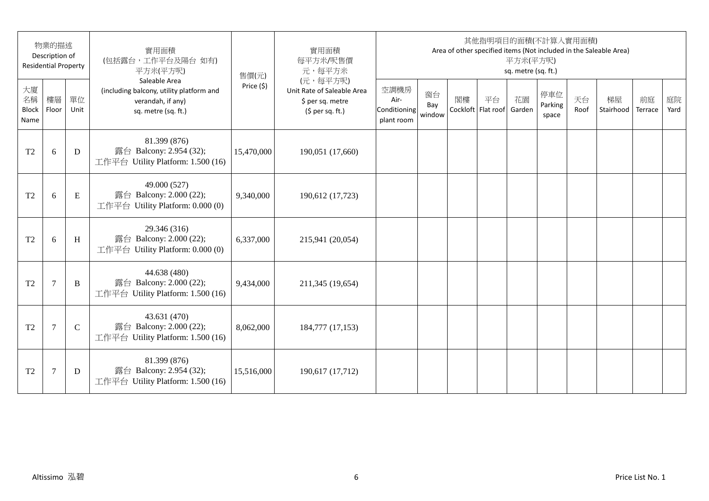|                                  | 物業的描述<br>Description of<br><b>Residential Property</b> |             | 實用面積<br>(包括露台,工作平台及陽台如有)<br>平方米(平方呎)                                                                  | 售價(元)      | 實用面積<br>每平方米/呎售價<br>元,每平方米                                                      |                                            |                     |    |                          | 平方米(平方呎)<br>sq. metre (sq. ft.) | 其他指明項目的面積(不計算入實用面積)     |            | Area of other specified items (Not included in the Saleable Area) |               |            |
|----------------------------------|--------------------------------------------------------|-------------|-------------------------------------------------------------------------------------------------------|------------|---------------------------------------------------------------------------------|--------------------------------------------|---------------------|----|--------------------------|---------------------------------|-------------------------|------------|-------------------------------------------------------------------|---------------|------------|
| 大廈<br>名稱<br><b>Block</b><br>Name | 樓層<br>Floor                                            | 單位<br>Unit  | Saleable Area<br>(including balcony, utility platform and<br>verandah, if any)<br>sq. metre (sq. ft.) | Price (\$) | (元,每平方呎)<br>Unit Rate of Saleable Area<br>\$ per sq. metre<br>$(5$ per sq. ft.) | 空調機房<br>Air-<br>Conditioning<br>plant room | 窗台<br>Bay<br>window | 閣樓 | 平台<br>Cockloft Flat roof | 花園<br>Garden                    | 停車位<br>Parking<br>space | 天台<br>Roof | 梯屋<br>Stairhood                                                   | 前庭<br>Terrace | 庭院<br>Yard |
| T <sub>2</sub>                   | 6                                                      | D           | 81.399 (876)<br>露台 Balcony: 2.954 (32);<br>工作平台 Utility Platform: 1.500 (16)                          | 15,470,000 | 190,051 (17,660)                                                                |                                            |                     |    |                          |                                 |                         |            |                                                                   |               |            |
| T <sub>2</sub>                   | 6                                                      | E           | 49.000 (527)<br>露台 Balcony: 2.000 (22);<br>工作平台 Utility Platform: 0.000 (0)                           | 9,340,000  | 190,612 (17,723)                                                                |                                            |                     |    |                          |                                 |                         |            |                                                                   |               |            |
| T2                               | 6                                                      | H           | 29.346 (316)<br>露台 Balcony: 2.000 (22);<br>工作平台 Utility Platform: 0.000 (0)                           | 6,337,000  | 215,941 (20,054)                                                                |                                            |                     |    |                          |                                 |                         |            |                                                                   |               |            |
| T <sub>2</sub>                   | $\overline{7}$                                         | B           | 44.638 (480)<br>露台 Balcony: 2.000 (22);<br>工作平台 Utility Platform: 1.500 (16)                          | 9,434,000  | 211,345 (19,654)                                                                |                                            |                     |    |                          |                                 |                         |            |                                                                   |               |            |
| T <sub>2</sub>                   | $\overline{7}$                                         | $\mathbf C$ | 43.631 (470)<br>露台 Balcony: 2.000 (22);<br>工作平台 Utility Platform: 1.500 (16)                          | 8,062,000  | 184,777 (17,153)                                                                |                                            |                     |    |                          |                                 |                         |            |                                                                   |               |            |
| T <sub>2</sub>                   | $\tau$                                                 | D           | 81.399 (876)<br>露台 Balcony: 2.954 (32);<br>工作平台 Utility Platform: 1.500 (16)                          | 15,516,000 | 190,617 (17,712)                                                                |                                            |                     |    |                          |                                 |                         |            |                                                                   |               |            |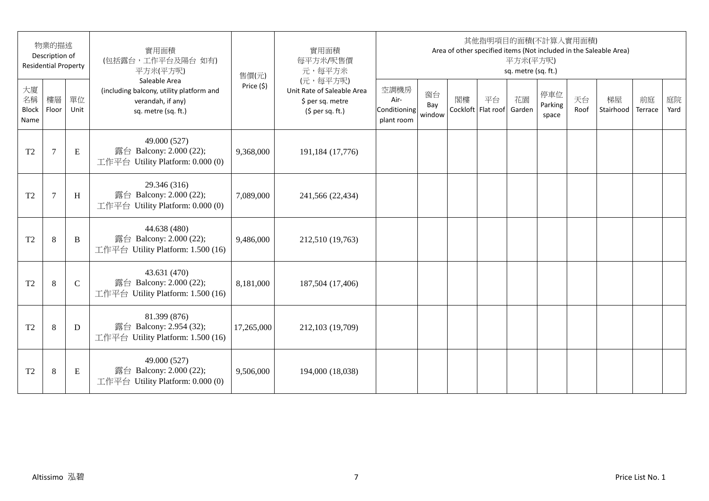|                                  | 物業的描述<br>Description of<br><b>Residential Property</b> |            | 實用面積<br>(包括露台,工作平台及陽台如有)<br>平方米(平方呎)                                                                  | 售價(元)      | 實用面積<br>每平方米/呎售價<br>元,每平方米                                                      |                                            |                     |    |                          | 平方米(平方呎)<br>sq. metre (sq. ft.) | 其他指明項目的面積(不計算入實用面積)     |            | Area of other specified items (Not included in the Saleable Area) |               |            |
|----------------------------------|--------------------------------------------------------|------------|-------------------------------------------------------------------------------------------------------|------------|---------------------------------------------------------------------------------|--------------------------------------------|---------------------|----|--------------------------|---------------------------------|-------------------------|------------|-------------------------------------------------------------------|---------------|------------|
| 大廈<br>名稱<br><b>Block</b><br>Name | 樓層<br>Floor                                            | 單位<br>Unit | Saleable Area<br>(including balcony, utility platform and<br>verandah, if any)<br>sq. metre (sq. ft.) | Price (\$) | (元,每平方呎)<br>Unit Rate of Saleable Area<br>\$ per sq. metre<br>$(5$ per sq. ft.) | 空調機房<br>Air-<br>Conditioning<br>plant room | 窗台<br>Bay<br>window | 閣樓 | 平台<br>Cockloft Flat roof | 花園<br>Garden                    | 停車位<br>Parking<br>space | 天台<br>Roof | 梯屋<br>Stairhood                                                   | 前庭<br>Terrace | 庭院<br>Yard |
| T <sub>2</sub>                   | $\overline{7}$                                         | E          | 49.000 (527)<br>露台 Balcony: 2.000 (22);<br>工作平台 Utility Platform: 0.000 (0)                           | 9,368,000  | 191,184 (17,776)                                                                |                                            |                     |    |                          |                                 |                         |            |                                                                   |               |            |
| T <sub>2</sub>                   | $\overline{7}$                                         | H          | 29.346 (316)<br>露台 Balcony: 2.000 (22);<br>工作平台 Utility Platform: 0.000 (0)                           | 7,089,000  | 241,566 (22,434)                                                                |                                            |                     |    |                          |                                 |                         |            |                                                                   |               |            |
| T2                               | $\,8\,$                                                | $\bf{B}$   | 44.638 (480)<br>露台 Balcony: 2.000 (22);<br>工作平台 Utility Platform: 1.500 (16)                          | 9,486,000  | 212,510 (19,763)                                                                |                                            |                     |    |                          |                                 |                         |            |                                                                   |               |            |
| T <sub>2</sub>                   | $\,8\,$                                                | ${\bf C}$  | 43.631 (470)<br>露台 Balcony: 2.000 (22);<br>工作平台 Utility Platform: 1.500 (16)                          | 8,181,000  | 187,504 (17,406)                                                                |                                            |                     |    |                          |                                 |                         |            |                                                                   |               |            |
| T <sub>2</sub>                   | $\,8\,$                                                | D          | 81.399 (876)<br>露台 Balcony: 2.954 (32);<br>工作平台 Utility Platform: 1.500 (16)                          | 17,265,000 | 212,103 (19,709)                                                                |                                            |                     |    |                          |                                 |                         |            |                                                                   |               |            |
| T <sub>2</sub>                   | $\,8\,$                                                | E          | 49.000 (527)<br>露台 Balcony: 2.000 (22);<br>工作平台 Utility Platform: 0.000 (0)                           | 9,506,000  | 194,000 (18,038)                                                                |                                            |                     |    |                          |                                 |                         |            |                                                                   |               |            |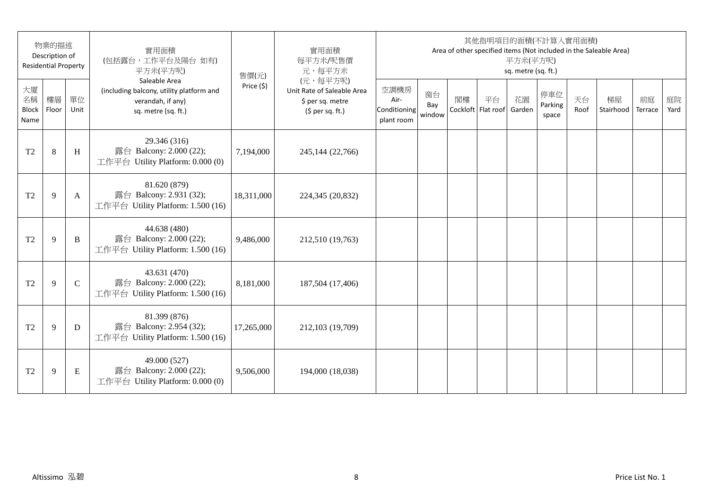|                                  | 物業的描述<br>Description of<br><b>Residential Property</b> |               | 實用面積<br>(包括露台,工作平台及陽台如有)<br>平方米(平方呎)                                                                  | 售價(元)      | 實用面積<br>每平方米/呎售價<br>元,每平方米                                                      |                                            |                     |    |                          | 平方米(平方呎)<br>sq. metre (sq. ft.) | 其他指明項目的面積(不計算入實用面積)     |            | Area of other specified items (Not included in the Saleable Area) |               |            |
|----------------------------------|--------------------------------------------------------|---------------|-------------------------------------------------------------------------------------------------------|------------|---------------------------------------------------------------------------------|--------------------------------------------|---------------------|----|--------------------------|---------------------------------|-------------------------|------------|-------------------------------------------------------------------|---------------|------------|
| 大廈<br>名稱<br><b>Block</b><br>Name | 樓層<br>Floor                                            | 單位<br>Unit    | Saleable Area<br>(including balcony, utility platform and<br>verandah, if any)<br>sq. metre (sq. ft.) | Price (\$) | (元,每平方呎)<br>Unit Rate of Saleable Area<br>\$ per sq. metre<br>$(5$ per sq. ft.) | 空調機房<br>Air-<br>Conditioning<br>plant room | 窗台<br>Bay<br>window | 閣樓 | 平台<br>Cockloft Flat roof | 花園<br>Garden                    | 停車位<br>Parking<br>space | 天台<br>Roof | 梯屋<br>Stairhood                                                   | 前庭<br>Terrace | 庭院<br>Yard |
| T <sub>2</sub>                   | $\,8\,$                                                | H             | 29.346 (316)<br>露台 Balcony: 2.000 (22);<br>工作平台 Utility Platform: 0.000 (0)                           | 7,194,000  | 245,144 (22,766)                                                                |                                            |                     |    |                          |                                 |                         |            |                                                                   |               |            |
| T <sub>2</sub>                   | 9                                                      | A             | 81.620 (879)<br>露台 Balcony: 2.931 (32);<br>工作平台 Utility Platform: 1.500 (16)                          | 18,311,000 | 224,345 (20,832)                                                                |                                            |                     |    |                          |                                 |                         |            |                                                                   |               |            |
| T <sub>2</sub>                   | 9                                                      | B             | 44.638 (480)<br>露台 Balcony: 2.000 (22);<br>工作平台 Utility Platform: 1.500 (16)                          | 9,486,000  | 212,510 (19,763)                                                                |                                            |                     |    |                          |                                 |                         |            |                                                                   |               |            |
| T <sub>2</sub>                   | 9                                                      | $\mathcal{C}$ | 43.631 (470)<br>露台 Balcony: 2.000 (22);<br>工作平台 Utility Platform: 1.500 (16)                          | 8,181,000  | 187,504 (17,406)                                                                |                                            |                     |    |                          |                                 |                         |            |                                                                   |               |            |
| T <sub>2</sub>                   | 9                                                      | D             | 81.399 (876)<br>露台 Balcony: 2.954 (32);<br>工作平台 Utility Platform: 1.500 (16)                          | 17,265,000 | 212,103 (19,709)                                                                |                                            |                     |    |                          |                                 |                         |            |                                                                   |               |            |
| T <sub>2</sub>                   | 9                                                      | E             | 49.000 (527)<br>露台 Balcony: 2.000 (22);<br>工作平台 Utility Platform: 0.000 (0)                           | 9,506,000  | 194,000 (18,038)                                                                |                                            |                     |    |                          |                                 |                         |            |                                                                   |               |            |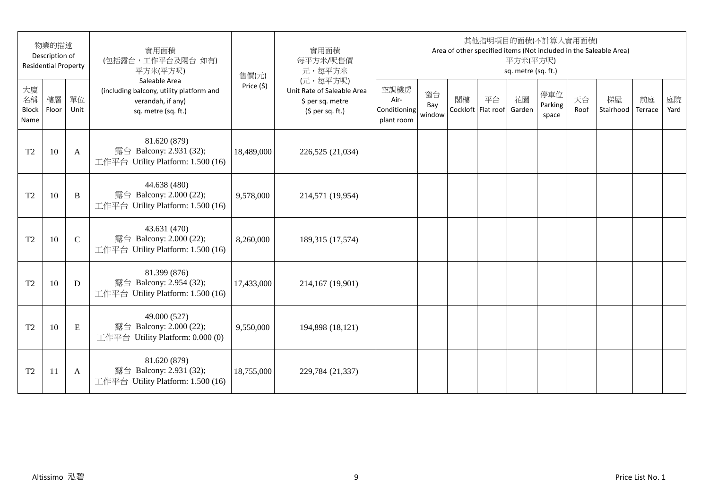|                                  | 物業的描述<br>Description of<br><b>Residential Property</b> |               | 實用面積<br>(包括露台,工作平台及陽台如有)<br>平方米(平方呎)                                                                  | 售價(元)      | 實用面積<br>每平方米/呎售價<br>元,每平方米                                                      |                                            |                     |    |                          | 平方米(平方呎)<br>sq. metre (sq. ft.) | 其他指明項目的面積(不計算入實用面積)     |            | Area of other specified items (Not included in the Saleable Area) |               |            |
|----------------------------------|--------------------------------------------------------|---------------|-------------------------------------------------------------------------------------------------------|------------|---------------------------------------------------------------------------------|--------------------------------------------|---------------------|----|--------------------------|---------------------------------|-------------------------|------------|-------------------------------------------------------------------|---------------|------------|
| 大廈<br>名稱<br><b>Block</b><br>Name | 樓層<br>Floor                                            | 單位<br>Unit    | Saleable Area<br>(including balcony, utility platform and<br>verandah, if any)<br>sq. metre (sq. ft.) | Price (\$) | (元,每平方呎)<br>Unit Rate of Saleable Area<br>\$ per sq. metre<br>$(5$ per sq. ft.) | 空調機房<br>Air-<br>Conditioning<br>plant room | 窗台<br>Bay<br>window | 閣樓 | 平台<br>Cockloft Flat roof | 花園<br>Garden                    | 停車位<br>Parking<br>space | 天台<br>Roof | 梯屋<br>Stairhood                                                   | 前庭<br>Terrace | 庭院<br>Yard |
| T <sub>2</sub>                   | 10                                                     | A             | 81.620 (879)<br>露台 Balcony: 2.931 (32);<br>工作平台 Utility Platform: 1.500 (16)                          | 18,489,000 | 226,525 (21,034)                                                                |                                            |                     |    |                          |                                 |                         |            |                                                                   |               |            |
| T <sub>2</sub>                   | 10                                                     | B             | 44.638 (480)<br>露台 Balcony: 2.000 (22);<br>工作平台 Utility Platform: 1.500 (16)                          | 9,578,000  | 214,571 (19,954)                                                                |                                            |                     |    |                          |                                 |                         |            |                                                                   |               |            |
| T2                               | 10                                                     | $\mathcal{C}$ | 43.631 (470)<br>露台 Balcony: 2.000 (22);<br>工作平台 Utility Platform: 1.500 (16)                          | 8,260,000  | 189,315 (17,574)                                                                |                                            |                     |    |                          |                                 |                         |            |                                                                   |               |            |
| T <sub>2</sub>                   | 10                                                     | D             | 81.399 (876)<br>露台 Balcony: 2.954 (32);<br>工作平台 Utility Platform: 1.500 (16)                          | 17,433,000 | 214,167 (19,901)                                                                |                                            |                     |    |                          |                                 |                         |            |                                                                   |               |            |
| T <sub>2</sub>                   | 10                                                     | E             | 49.000 (527)<br>露台 Balcony: 2.000 (22);<br>工作平台 Utility Platform: 0.000 (0)                           | 9,550,000  | 194,898 (18,121)                                                                |                                            |                     |    |                          |                                 |                         |            |                                                                   |               |            |
| T <sub>2</sub>                   | 11                                                     | A             | 81.620 (879)<br>露台 Balcony: 2.931 (32);<br>工作平台 Utility Platform: 1.500 (16)                          | 18,755,000 | 229,784 (21,337)                                                                |                                            |                     |    |                          |                                 |                         |            |                                                                   |               |            |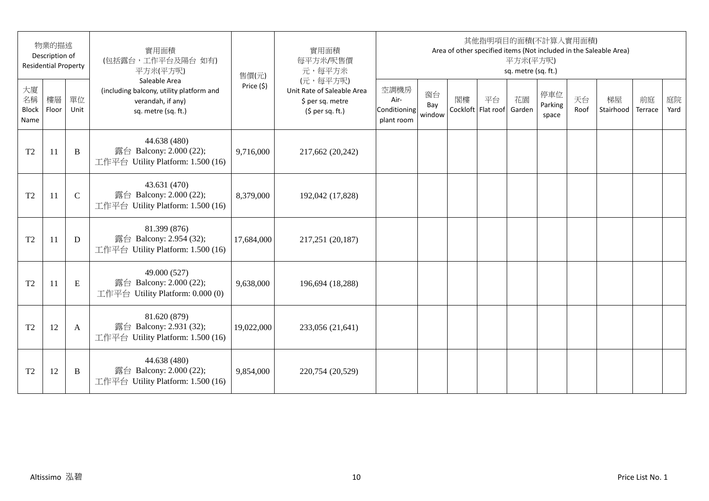|                                  | 物業的描述<br>Description of<br><b>Residential Property</b> |               | 實用面積<br>(包括露台,工作平台及陽台如有)<br>平方米(平方呎)                                                                  | 售價(元)      | 實用面積<br>每平方米/呎售價<br>元,每平方米                                                      |                                            |                     |    |                          | 平方米(平方呎)<br>sq. metre (sq. ft.) | 其他指明項目的面積(不計算入實用面積)     |            | Area of other specified items (Not included in the Saleable Area) |               |            |
|----------------------------------|--------------------------------------------------------|---------------|-------------------------------------------------------------------------------------------------------|------------|---------------------------------------------------------------------------------|--------------------------------------------|---------------------|----|--------------------------|---------------------------------|-------------------------|------------|-------------------------------------------------------------------|---------------|------------|
| 大廈<br>名稱<br><b>Block</b><br>Name | 樓層<br>Floor                                            | 單位<br>Unit    | Saleable Area<br>(including balcony, utility platform and<br>verandah, if any)<br>sq. metre (sq. ft.) | Price (\$) | (元,每平方呎)<br>Unit Rate of Saleable Area<br>\$ per sq. metre<br>$(5$ per sq. ft.) | 空調機房<br>Air-<br>Conditioning<br>plant room | 窗台<br>Bay<br>window | 閣樓 | 平台<br>Cockloft Flat roof | 花園<br>Garden                    | 停車位<br>Parking<br>space | 天台<br>Roof | 梯屋<br>Stairhood                                                   | 前庭<br>Terrace | 庭院<br>Yard |
| T <sub>2</sub>                   | 11                                                     | B             | 44.638 (480)<br>露台 Balcony: 2.000 (22);<br>工作平台 Utility Platform: 1.500 (16)                          | 9,716,000  | 217,662 (20,242)                                                                |                                            |                     |    |                          |                                 |                         |            |                                                                   |               |            |
| T <sub>2</sub>                   | 11                                                     | $\mathcal{C}$ | 43.631 (470)<br>露台 Balcony: 2.000 (22);<br>工作平台 Utility Platform: 1.500 (16)                          | 8,379,000  | 192,042 (17,828)                                                                |                                            |                     |    |                          |                                 |                         |            |                                                                   |               |            |
| T <sub>2</sub>                   | 11                                                     | D             | 81.399 (876)<br>露台 Balcony: 2.954 (32);<br>工作平台 Utility Platform: 1.500 (16)                          | 17,684,000 | 217,251 (20,187)                                                                |                                            |                     |    |                          |                                 |                         |            |                                                                   |               |            |
| T <sub>2</sub>                   | 11                                                     | E             | 49.000 (527)<br>露台 Balcony: 2.000 (22);<br>工作平台 Utility Platform: 0.000 (0)                           | 9,638,000  | 196,694 (18,288)                                                                |                                            |                     |    |                          |                                 |                         |            |                                                                   |               |            |
| T <sub>2</sub>                   | 12                                                     | A             | 81.620 (879)<br>露台 Balcony: 2.931 (32);<br>工作平台 Utility Platform: 1.500 (16)                          | 19,022,000 | 233,056 (21,641)                                                                |                                            |                     |    |                          |                                 |                         |            |                                                                   |               |            |
| T <sub>2</sub>                   | 12                                                     | B             | 44.638 (480)<br>露台 Balcony: 2.000 (22);<br>工作平台 Utility Platform: 1.500 (16)                          | 9,854,000  | 220,754 (20,529)                                                                |                                            |                     |    |                          |                                 |                         |            |                                                                   |               |            |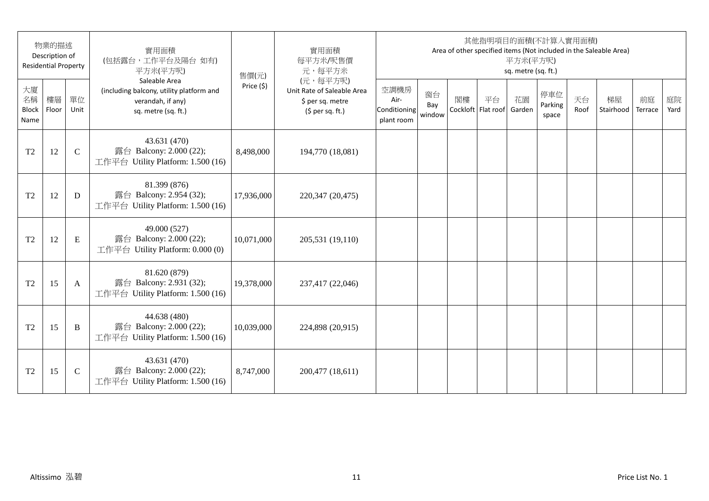|                                  | 物業的描述<br>Description of<br><b>Residential Property</b> |               | 實用面積<br>(包括露台,工作平台及陽台如有)<br>平方米(平方呎)                                                                  | 售價(元)      | 實用面積<br>每平方米/呎售價<br>元,每平方米                                                      |                                            |                     |                          | 其他指明項目的面積(不計算入實用面積) | 平方米(平方呎)<br>sq. metre (sq. ft.) |                         |            | Area of other specified items (Not included in the Saleable Area) |               |            |
|----------------------------------|--------------------------------------------------------|---------------|-------------------------------------------------------------------------------------------------------|------------|---------------------------------------------------------------------------------|--------------------------------------------|---------------------|--------------------------|---------------------|---------------------------------|-------------------------|------------|-------------------------------------------------------------------|---------------|------------|
| 大廈<br>名稱<br><b>Block</b><br>Name | 樓層<br>Floor                                            | 單位<br>Unit    | Saleable Area<br>(including balcony, utility platform and<br>verandah, if any)<br>sq. metre (sq. ft.) | Price (\$) | (元,每平方呎)<br>Unit Rate of Saleable Area<br>\$ per sq. metre<br>$(5$ per sq. ft.) | 空調機房<br>Air-<br>Conditioning<br>plant room | 窗台<br>Bay<br>window | 閣樓<br>Cockloft Flat roof | 平台                  | 花園<br>Garden                    | 停車位<br>Parking<br>space | 天台<br>Roof | 梯屋<br>Stairhood                                                   | 前庭<br>Terrace | 庭院<br>Yard |
| T <sub>2</sub>                   | 12                                                     | $\mathcal{C}$ | 43.631 (470)<br>露台 Balcony: 2.000 (22);<br>工作平台 Utility Platform: 1.500 (16)                          | 8,498,000  | 194,770 (18,081)                                                                |                                            |                     |                          |                     |                                 |                         |            |                                                                   |               |            |
| T <sub>2</sub>                   | 12                                                     | D             | 81.399 (876)<br>露台 Balcony: 2.954 (32);<br>工作平台 Utility Platform: 1.500 (16)                          | 17,936,000 | 220,347 (20,475)                                                                |                                            |                     |                          |                     |                                 |                         |            |                                                                   |               |            |
| T <sub>2</sub>                   | 12                                                     | E             | 49.000 (527)<br>露台 Balcony: 2.000 (22);<br>工作平台 Utility Platform: 0.000 (0)                           | 10,071,000 | 205,531 (19,110)                                                                |                                            |                     |                          |                     |                                 |                         |            |                                                                   |               |            |
| T <sub>2</sub>                   | 15                                                     | A             | 81.620 (879)<br>露台 Balcony: 2.931 (32);<br>工作平台 Utility Platform: 1.500 (16)                          | 19,378,000 | 237,417 (22,046)                                                                |                                            |                     |                          |                     |                                 |                         |            |                                                                   |               |            |
| T <sub>2</sub>                   | 15                                                     | B             | 44.638 (480)<br>露台 Balcony: 2.000 (22);<br>工作平台 Utility Platform: 1.500 (16)                          | 10,039,000 | 224,898 (20,915)                                                                |                                            |                     |                          |                     |                                 |                         |            |                                                                   |               |            |
| T <sub>2</sub>                   | 15                                                     | $\mathbf C$   | 43.631 (470)<br>露台 Balcony: 2.000 (22);<br>工作平台 Utility Platform: 1.500 (16)                          | 8,747,000  | 200,477 (18,611)                                                                |                                            |                     |                          |                     |                                 |                         |            |                                                                   |               |            |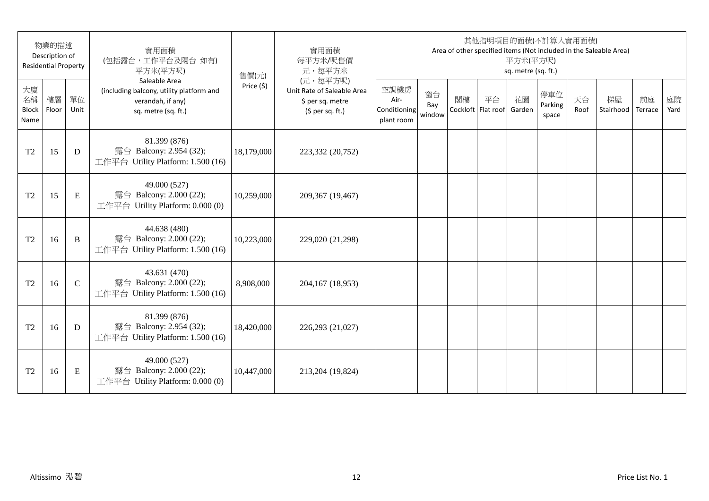|                                  | 物業的描述<br>Description of<br><b>Residential Property</b> |               | 實用面積<br>(包括露台,工作平台及陽台如有)<br>平方米(平方呎)                                                                  | 售價(元)      | 實用面積<br>每平方米/呎售價<br>元,每平方米                                                      |                                            |                     |    |                          | 平方米(平方呎)<br>sq. metre (sq. ft.) | 其他指明項目的面積(不計算入實用面積)     |            | Area of other specified items (Not included in the Saleable Area) |               |            |
|----------------------------------|--------------------------------------------------------|---------------|-------------------------------------------------------------------------------------------------------|------------|---------------------------------------------------------------------------------|--------------------------------------------|---------------------|----|--------------------------|---------------------------------|-------------------------|------------|-------------------------------------------------------------------|---------------|------------|
| 大廈<br>名稱<br><b>Block</b><br>Name | 樓層<br>Floor                                            | 單位<br>Unit    | Saleable Area<br>(including balcony, utility platform and<br>verandah, if any)<br>sq. metre (sq. ft.) | Price (\$) | (元,每平方呎)<br>Unit Rate of Saleable Area<br>\$ per sq. metre<br>$(5$ per sq. ft.) | 空調機房<br>Air-<br>Conditioning<br>plant room | 窗台<br>Bay<br>window | 閣樓 | 平台<br>Cockloft Flat roof | 花園<br>Garden                    | 停車位<br>Parking<br>space | 天台<br>Roof | 梯屋<br>Stairhood                                                   | 前庭<br>Terrace | 庭院<br>Yard |
| T <sub>2</sub>                   | 15                                                     | D             | 81.399 (876)<br>露台 Balcony: 2.954 (32);<br>工作平台 Utility Platform: 1.500 (16)                          | 18,179,000 | 223,332 (20,752)                                                                |                                            |                     |    |                          |                                 |                         |            |                                                                   |               |            |
| T <sub>2</sub>                   | 15                                                     | E             | 49.000 (527)<br>露台 Balcony: 2.000 (22);<br>工作平台 Utility Platform: 0.000 (0)                           | 10,259,000 | 209,367 (19,467)                                                                |                                            |                     |    |                          |                                 |                         |            |                                                                   |               |            |
| T <sub>2</sub>                   | 16                                                     | B             | 44.638 (480)<br>露台 Balcony: 2.000 (22);<br>工作平台 Utility Platform: 1.500 (16)                          | 10,223,000 | 229,020 (21,298)                                                                |                                            |                     |    |                          |                                 |                         |            |                                                                   |               |            |
| T <sub>2</sub>                   | 16                                                     | $\mathcal{C}$ | 43.631 (470)<br>露台 Balcony: 2.000 (22);<br>工作平台 Utility Platform: 1.500 (16)                          | 8,908,000  | 204,167 (18,953)                                                                |                                            |                     |    |                          |                                 |                         |            |                                                                   |               |            |
| T <sub>2</sub>                   | 16                                                     | D             | 81.399 (876)<br>露台 Balcony: 2.954 (32);<br>工作平台 Utility Platform: 1.500 (16)                          | 18,420,000 | 226,293 (21,027)                                                                |                                            |                     |    |                          |                                 |                         |            |                                                                   |               |            |
| T <sub>2</sub>                   | 16                                                     | E             | 49.000 (527)<br>露台 Balcony: 2.000 (22);<br>工作平台 Utility Platform: 0.000 (0)                           | 10,447,000 | 213,204 (19,824)                                                                |                                            |                     |    |                          |                                 |                         |            |                                                                   |               |            |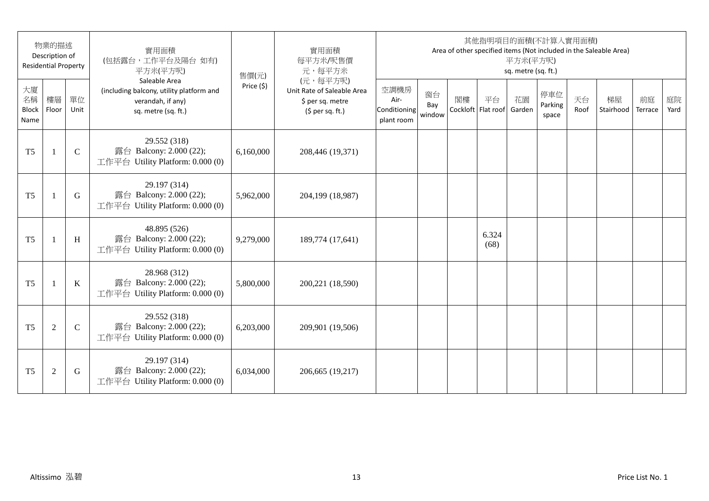|                                  | 物業的描述<br>Description of<br><b>Residential Property</b> |               | 實用面積<br>(包括露台,工作平台及陽台如有)<br>平方米(平方呎)                                                                  | 售價(元)      | 實用面積<br>每平方米/呎售價<br>元,每平方米                                                      |                                            |                     |    |                          | 平方米(平方呎)<br>sq. metre (sq. ft.) | 其他指明項目的面積(不計算入實用面積)     |            | Area of other specified items (Not included in the Saleable Area) |               |            |
|----------------------------------|--------------------------------------------------------|---------------|-------------------------------------------------------------------------------------------------------|------------|---------------------------------------------------------------------------------|--------------------------------------------|---------------------|----|--------------------------|---------------------------------|-------------------------|------------|-------------------------------------------------------------------|---------------|------------|
| 大廈<br>名稱<br><b>Block</b><br>Name | 樓層<br>Floor                                            | 單位<br>Unit    | Saleable Area<br>(including balcony, utility platform and<br>verandah, if any)<br>sq. metre (sq. ft.) | Price (\$) | (元,每平方呎)<br>Unit Rate of Saleable Area<br>\$ per sq. metre<br>$(5$ per sq. ft.) | 空調機房<br>Air-<br>Conditioning<br>plant room | 窗台<br>Bay<br>window | 閣樓 | 平台<br>Cockloft Flat roof | 花園<br>Garden                    | 停車位<br>Parking<br>space | 天台<br>Roof | 梯屋<br>Stairhood                                                   | 前庭<br>Terrace | 庭院<br>Yard |
| T <sub>5</sub>                   | -1                                                     | $\mathcal{C}$ | 29.552 (318)<br>露台 Balcony: 2.000 (22);<br>工作平台 Utility Platform: 0.000 (0)                           | 6,160,000  | 208,446 (19,371)                                                                |                                            |                     |    |                          |                                 |                         |            |                                                                   |               |            |
| T <sub>5</sub>                   | 1                                                      | G             | 29.197 (314)<br>露台 Balcony: 2.000 (22);<br>工作平台 Utility Platform: 0.000 (0)                           | 5,962,000  | 204,199 (18,987)                                                                |                                            |                     |    |                          |                                 |                         |            |                                                                   |               |            |
| T <sub>5</sub>                   | 1                                                      | H             | 48.895 (526)<br>露台 Balcony: 2.000 (22);<br>工作平台 Utility Platform: 0.000 (0)                           | 9,279,000  | 189,774 (17,641)                                                                |                                            |                     |    | 6.324<br>(68)            |                                 |                         |            |                                                                   |               |            |
| T <sub>5</sub>                   | 1                                                      | $\mathbf K$   | 28.968 (312)<br>露台 Balcony: 2.000 (22);<br>工作平台 Utility Platform: 0.000 (0)                           | 5,800,000  | 200,221 (18,590)                                                                |                                            |                     |    |                          |                                 |                         |            |                                                                   |               |            |
| T <sub>5</sub>                   | $\overline{2}$                                         | $\mathcal{C}$ | 29.552 (318)<br>露台 Balcony: 2.000 (22);<br>工作平台 Utility Platform: 0.000 (0)                           | 6,203,000  | 209,901 (19,506)                                                                |                                            |                     |    |                          |                                 |                         |            |                                                                   |               |            |
| T <sub>5</sub>                   | $\overline{2}$                                         | G             | 29.197 (314)<br>露台 Balcony: 2.000 (22);<br>工作平台 Utility Platform: 0.000 (0)                           | 6,034,000  | 206,665 (19,217)                                                                |                                            |                     |    |                          |                                 |                         |            |                                                                   |               |            |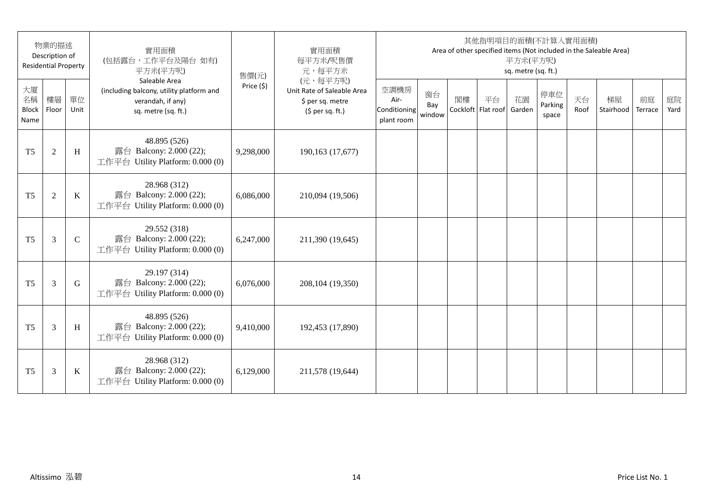|                                  | 物業的描述<br>Description of<br><b>Residential Property</b> |             | 實用面積<br>(包括露台,工作平台及陽台如有)<br>平方米(平方呎)                                                                  | 售價(元)      | 實用面積<br>每平方米/呎售價<br>元,每平方米                                                      |                                            |                     |    |                          | 平方米(平方呎)<br>sq. metre (sq. ft.) | 其他指明項目的面積(不計算入實用面積)     |            | Area of other specified items (Not included in the Saleable Area) |               |            |
|----------------------------------|--------------------------------------------------------|-------------|-------------------------------------------------------------------------------------------------------|------------|---------------------------------------------------------------------------------|--------------------------------------------|---------------------|----|--------------------------|---------------------------------|-------------------------|------------|-------------------------------------------------------------------|---------------|------------|
| 大廈<br>名稱<br><b>Block</b><br>Name | 樓層<br>Floor                                            | 單位<br>Unit  | Saleable Area<br>(including balcony, utility platform and<br>verandah, if any)<br>sq. metre (sq. ft.) | Price (\$) | (元,每平方呎)<br>Unit Rate of Saleable Area<br>\$ per sq. metre<br>$(5$ per sq. ft.) | 空調機房<br>Air-<br>Conditioning<br>plant room | 窗台<br>Bay<br>window | 閣樓 | 平台<br>Cockloft Flat roof | 花園<br>Garden                    | 停車位<br>Parking<br>space | 天台<br>Roof | 梯屋<br>Stairhood                                                   | 前庭<br>Terrace | 庭院<br>Yard |
| T <sub>5</sub>                   | $\overline{2}$                                         | H           | 48.895 (526)<br>露台 Balcony: 2.000 (22);<br>工作平台 Utility Platform: 0.000 (0)                           | 9,298,000  | 190,163 (17,677)                                                                |                                            |                     |    |                          |                                 |                         |            |                                                                   |               |            |
| T <sub>5</sub>                   | $\overline{2}$                                         | $\bf K$     | 28.968 (312)<br>露台 Balcony: 2.000 (22);<br>工作平台 Utility Platform: 0.000 (0)                           | 6,086,000  | 210,094 (19,506)                                                                |                                            |                     |    |                          |                                 |                         |            |                                                                   |               |            |
| T <sub>5</sub>                   | 3                                                      | $\mathbf C$ | 29.552 (318)<br>露台 Balcony: 2.000 (22);<br>工作平台 Utility Platform: 0.000 (0)                           | 6,247,000  | 211,390 (19,645)                                                                |                                            |                     |    |                          |                                 |                         |            |                                                                   |               |            |
| T <sub>5</sub>                   | 3                                                      | G           | 29.197 (314)<br>露台 Balcony: 2.000 (22);<br>工作平台 Utility Platform: 0.000 (0)                           | 6,076,000  | 208,104 (19,350)                                                                |                                            |                     |    |                          |                                 |                         |            |                                                                   |               |            |
| T <sub>5</sub>                   | 3                                                      | H           | 48.895 (526)<br>露台 Balcony: 2.000 (22);<br>工作平台 Utility Platform: 0.000 (0)                           | 9,410,000  | 192,453 (17,890)                                                                |                                            |                     |    |                          |                                 |                         |            |                                                                   |               |            |
| T <sub>5</sub>                   | 3                                                      | $\mathbf K$ | 28.968 (312)<br>露台 Balcony: 2.000 (22);<br>工作平台 Utility Platform: 0.000 (0)                           | 6,129,000  | 211,578 (19,644)                                                                |                                            |                     |    |                          |                                 |                         |            |                                                                   |               |            |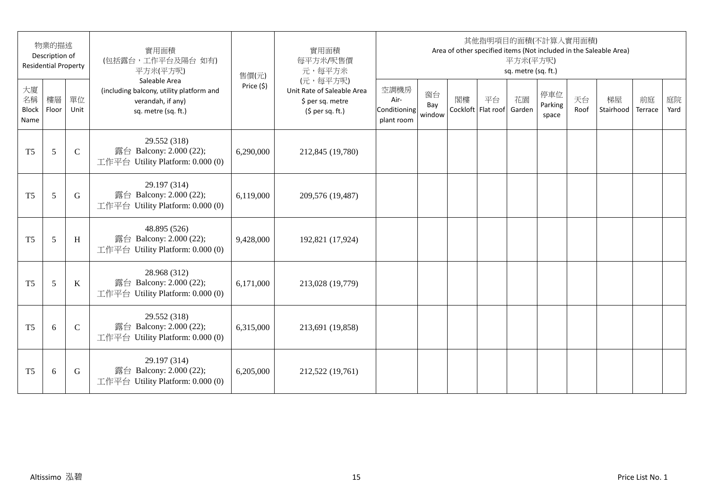|                                  | 物業的描述<br>Description of<br><b>Residential Property</b> |               | 實用面積<br>(包括露台,工作平台及陽台如有)<br>平方米(平方呎)                                                                  | 售價(元)      | 實用面積<br>每平方米/呎售價<br>元,每平方米                                                      |                                            |                     |    |                          | 平方米(平方呎)<br>sq. metre (sq. ft.) | 其他指明項目的面積(不計算入實用面積)     |            | Area of other specified items (Not included in the Saleable Area) |               |            |
|----------------------------------|--------------------------------------------------------|---------------|-------------------------------------------------------------------------------------------------------|------------|---------------------------------------------------------------------------------|--------------------------------------------|---------------------|----|--------------------------|---------------------------------|-------------------------|------------|-------------------------------------------------------------------|---------------|------------|
| 大廈<br>名稱<br><b>Block</b><br>Name | 樓層<br>Floor                                            | 單位<br>Unit    | Saleable Area<br>(including balcony, utility platform and<br>verandah, if any)<br>sq. metre (sq. ft.) | Price (\$) | (元,每平方呎)<br>Unit Rate of Saleable Area<br>\$ per sq. metre<br>$(5$ per sq. ft.) | 空調機房<br>Air-<br>Conditioning<br>plant room | 窗台<br>Bay<br>window | 閣樓 | 平台<br>Cockloft Flat roof | 花園<br>Garden                    | 停車位<br>Parking<br>space | 天台<br>Roof | 梯屋<br>Stairhood                                                   | 前庭<br>Terrace | 庭院<br>Yard |
| T <sub>5</sub>                   | 5                                                      | $\mathcal{C}$ | 29.552 (318)<br>露台 Balcony: 2.000 (22);<br>工作平台 Utility Platform: 0.000 (0)                           | 6,290,000  | 212,845 (19,780)                                                                |                                            |                     |    |                          |                                 |                         |            |                                                                   |               |            |
| T <sub>5</sub>                   | 5                                                      | G             | 29.197 (314)<br>露台 Balcony: 2.000 (22);<br>工作平台 Utility Platform: 0.000 (0)                           | 6,119,000  | 209,576 (19,487)                                                                |                                            |                     |    |                          |                                 |                         |            |                                                                   |               |            |
| T <sub>5</sub>                   | 5                                                      | H             | 48.895 (526)<br>露台 Balcony: 2.000 (22);<br>工作平台 Utility Platform: 0.000 (0)                           | 9,428,000  | 192,821 (17,924)                                                                |                                            |                     |    |                          |                                 |                         |            |                                                                   |               |            |
| T <sub>5</sub>                   | 5                                                      | $\bf K$       | 28.968 (312)<br>露台 Balcony: 2.000 (22);<br>工作平台 Utility Platform: 0.000 (0)                           | 6,171,000  | 213,028 (19,779)                                                                |                                            |                     |    |                          |                                 |                         |            |                                                                   |               |            |
| T <sub>5</sub>                   | 6                                                      | $\mathcal{C}$ | 29.552 (318)<br>露台 Balcony: 2.000 (22);<br>工作平台 Utility Platform: 0.000 (0)                           | 6,315,000  | 213,691 (19,858)                                                                |                                            |                     |    |                          |                                 |                         |            |                                                                   |               |            |
| T <sub>5</sub>                   | 6                                                      | G             | 29.197 (314)<br>露台 Balcony: 2.000 (22);<br>工作平台 Utility Platform: 0.000 (0)                           | 6,205,000  | 212,522 (19,761)                                                                |                                            |                     |    |                          |                                 |                         |            |                                                                   |               |            |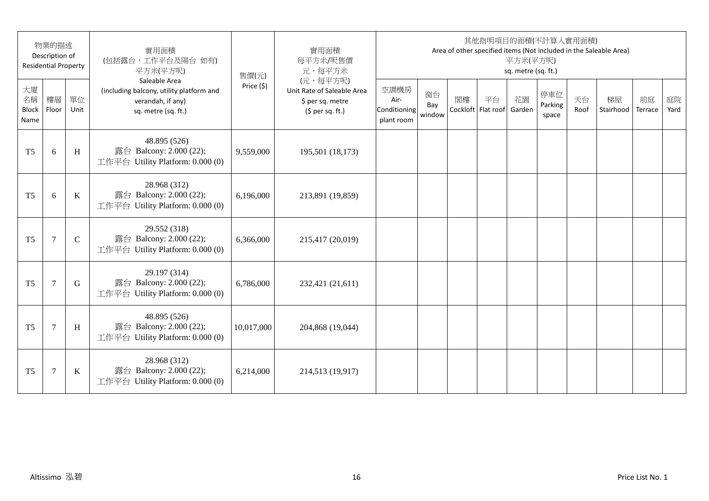|                                  | 物業的描述<br>Description of<br><b>Residential Property</b> |               | 實用面積<br>(包括露台,工作平台及陽台如有)<br>平方米(平方呎)                                                                  | 售價(元)      | 實用面積<br>每平方米/呎售價<br>元,每平方米                                                      |                                            |                     |    |                          | 平方米(平方呎)<br>sq. metre (sq. ft.) | 其他指明項目的面積(不計算入實用面積)     |            | Area of other specified items (Not included in the Saleable Area) |               |            |
|----------------------------------|--------------------------------------------------------|---------------|-------------------------------------------------------------------------------------------------------|------------|---------------------------------------------------------------------------------|--------------------------------------------|---------------------|----|--------------------------|---------------------------------|-------------------------|------------|-------------------------------------------------------------------|---------------|------------|
| 大廈<br>名稱<br><b>Block</b><br>Name | 樓層<br>Floor                                            | 單位<br>Unit    | Saleable Area<br>(including balcony, utility platform and<br>verandah, if any)<br>sq. metre (sq. ft.) | Price (\$) | (元,每平方呎)<br>Unit Rate of Saleable Area<br>\$ per sq. metre<br>$(5$ per sq. ft.) | 空調機房<br>Air-<br>Conditioning<br>plant room | 窗台<br>Bay<br>window | 閣樓 | 平台<br>Cockloft Flat roof | 花園<br>Garden                    | 停車位<br>Parking<br>space | 天台<br>Roof | 梯屋<br>Stairhood                                                   | 前庭<br>Terrace | 庭院<br>Yard |
| T <sub>5</sub>                   | 6                                                      | H             | 48.895 (526)<br>露台 Balcony: 2.000 (22);<br>工作平台 Utility Platform: 0.000 (0)                           | 9,559,000  | 195,501 (18,173)                                                                |                                            |                     |    |                          |                                 |                         |            |                                                                   |               |            |
| T <sub>5</sub>                   | 6                                                      | $\mathbf K$   | 28.968 (312)<br>露台 Balcony: 2.000 (22);<br>工作平台 Utility Platform: 0.000 (0)                           | 6,196,000  | 213,891 (19,859)                                                                |                                            |                     |    |                          |                                 |                         |            |                                                                   |               |            |
| T <sub>5</sub>                   | $\overline{7}$                                         | $\mathcal{C}$ | 29.552 (318)<br>露台 Balcony: 2.000 (22);<br>工作平台 Utility Platform: 0.000 (0)                           | 6,366,000  | 215,417 (20,019)                                                                |                                            |                     |    |                          |                                 |                         |            |                                                                   |               |            |
| T <sub>5</sub>                   | $\overline{7}$                                         | G             | 29.197 (314)<br>露台 Balcony: 2.000 (22);<br>工作平台 Utility Platform: 0.000 (0)                           | 6,786,000  | 232,421 (21,611)                                                                |                                            |                     |    |                          |                                 |                         |            |                                                                   |               |            |
| T <sub>5</sub>                   | $\tau$                                                 | H             | 48.895 (526)<br>露台 Balcony: 2.000 (22);<br>工作平台 Utility Platform: 0.000 (0)                           | 10,017,000 | 204,868 (19,044)                                                                |                                            |                     |    |                          |                                 |                         |            |                                                                   |               |            |
| T <sub>5</sub>                   | $\tau$                                                 | K             | 28.968 (312)<br>露台 Balcony: 2.000 (22);<br>工作平台 Utility Platform: 0.000 (0)                           | 6,214,000  | 214,513 (19,917)                                                                |                                            |                     |    |                          |                                 |                         |            |                                                                   |               |            |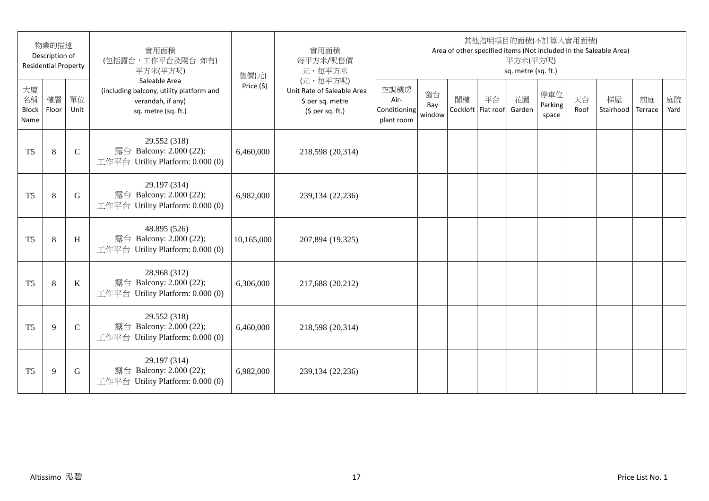|                                  | 物業的描述<br>Description of<br><b>Residential Property</b> |               | 實用面積<br>(包括露台,工作平台及陽台如有)<br>平方米(平方呎)                                                                  | 售價(元)      | 實用面積<br>每平方米/呎售價<br>元,每平方米                                                      |                                            |                     |    |                          | 平方米(平方呎)<br>sq. metre (sq. ft.) | 其他指明項目的面積(不計算入實用面積)     |            | Area of other specified items (Not included in the Saleable Area) |               |            |
|----------------------------------|--------------------------------------------------------|---------------|-------------------------------------------------------------------------------------------------------|------------|---------------------------------------------------------------------------------|--------------------------------------------|---------------------|----|--------------------------|---------------------------------|-------------------------|------------|-------------------------------------------------------------------|---------------|------------|
| 大廈<br>名稱<br><b>Block</b><br>Name | 樓層<br>Floor                                            | 單位<br>Unit    | Saleable Area<br>(including balcony, utility platform and<br>verandah, if any)<br>sq. metre (sq. ft.) | Price (\$) | (元,每平方呎)<br>Unit Rate of Saleable Area<br>\$ per sq. metre<br>$(5$ per sq. ft.) | 空調機房<br>Air-<br>Conditioning<br>plant room | 窗台<br>Bay<br>window | 閣樓 | 平台<br>Cockloft Flat roof | 花園<br>Garden                    | 停車位<br>Parking<br>space | 天台<br>Roof | 梯屋<br>Stairhood                                                   | 前庭<br>Terrace | 庭院<br>Yard |
| T <sub>5</sub>                   | 8                                                      | $\mathsf{C}$  | 29.552 (318)<br>露台 Balcony: 2.000 (22);<br>工作平台 Utility Platform: 0.000 (0)                           | 6,460,000  | 218,598 (20,314)                                                                |                                            |                     |    |                          |                                 |                         |            |                                                                   |               |            |
| T <sub>5</sub>                   | 8                                                      | G             | 29.197 (314)<br>露台 Balcony: 2.000 (22);<br>工作平台 Utility Platform: 0.000 (0)                           | 6,982,000  | 239,134 (22,236)                                                                |                                            |                     |    |                          |                                 |                         |            |                                                                   |               |            |
| T <sub>5</sub>                   | $\,8\,$                                                | H             | 48.895 (526)<br>露台 Balcony: 2.000 (22);<br>工作平台 Utility Platform: 0.000 (0)                           | 10,165,000 | 207,894 (19,325)                                                                |                                            |                     |    |                          |                                 |                         |            |                                                                   |               |            |
| T <sub>5</sub>                   | $\,8\,$                                                | $\bf K$       | 28.968 (312)<br>露台 Balcony: 2.000 (22);<br>工作平台 Utility Platform: 0.000 (0)                           | 6,306,000  | 217,688 (20,212)                                                                |                                            |                     |    |                          |                                 |                         |            |                                                                   |               |            |
| T <sub>5</sub>                   | 9                                                      | $\mathcal{C}$ | 29.552 (318)<br>露台 Balcony: 2.000 (22);<br>工作平台 Utility Platform: 0.000 (0)                           | 6,460,000  | 218,598 (20,314)                                                                |                                            |                     |    |                          |                                 |                         |            |                                                                   |               |            |
| T <sub>5</sub>                   | 9                                                      | G             | 29.197 (314)<br>露台 Balcony: 2.000 (22);<br>工作平台 Utility Platform: 0.000 (0)                           | 6,982,000  | 239,134 (22,236)                                                                |                                            |                     |    |                          |                                 |                         |            |                                                                   |               |            |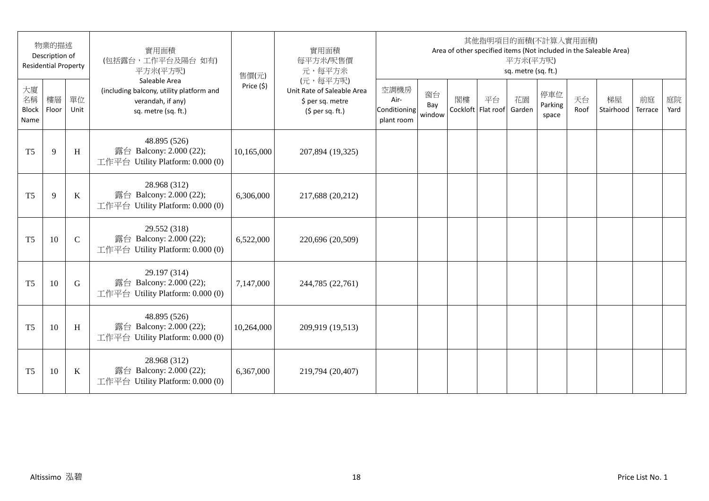|                                  | 物業的描述<br>Description of<br><b>Residential Property</b> |               | 實用面積<br>(包括露台,工作平台及陽台如有)<br>平方米(平方呎)                                                                  | 售價(元)      | 實用面積<br>每平方米/呎售價<br>元,每平方米                                                      |                                            |                     |    |                          | 平方米(平方呎)<br>sq. metre (sq. ft.) | 其他指明項目的面積(不計算入實用面積)     |            | Area of other specified items (Not included in the Saleable Area) |               |            |
|----------------------------------|--------------------------------------------------------|---------------|-------------------------------------------------------------------------------------------------------|------------|---------------------------------------------------------------------------------|--------------------------------------------|---------------------|----|--------------------------|---------------------------------|-------------------------|------------|-------------------------------------------------------------------|---------------|------------|
| 大廈<br>名稱<br><b>Block</b><br>Name | 樓層<br>Floor                                            | 單位<br>Unit    | Saleable Area<br>(including balcony, utility platform and<br>verandah, if any)<br>sq. metre (sq. ft.) | Price (\$) | (元,每平方呎)<br>Unit Rate of Saleable Area<br>\$ per sq. metre<br>$(5$ per sq. ft.) | 空調機房<br>Air-<br>Conditioning<br>plant room | 窗台<br>Bay<br>window | 閣樓 | 平台<br>Cockloft Flat roof | 花園<br>Garden                    | 停車位<br>Parking<br>space | 天台<br>Roof | 梯屋<br>Stairhood                                                   | 前庭<br>Terrace | 庭院<br>Yard |
| T <sub>5</sub>                   | 9                                                      | H             | 48.895 (526)<br>露台 Balcony: 2.000 (22);<br>工作平台 Utility Platform: 0.000 (0)                           | 10,165,000 | 207,894 (19,325)                                                                |                                            |                     |    |                          |                                 |                         |            |                                                                   |               |            |
| T <sub>5</sub>                   | 9                                                      | $\mathbf K$   | 28.968 (312)<br>露台 Balcony: 2.000 (22);<br>工作平台 Utility Platform: 0.000 (0)                           | 6,306,000  | 217,688 (20,212)                                                                |                                            |                     |    |                          |                                 |                         |            |                                                                   |               |            |
| T <sub>5</sub>                   | 10                                                     | $\mathcal{C}$ | 29.552 (318)<br>露台 Balcony: 2.000 (22);<br>工作平台 Utility Platform: 0.000 (0)                           | 6,522,000  | 220,696 (20,509)                                                                |                                            |                     |    |                          |                                 |                         |            |                                                                   |               |            |
| T <sub>5</sub>                   | 10                                                     | G             | 29.197 (314)<br>露台 Balcony: 2.000 (22);<br>工作平台 Utility Platform: 0.000 (0)                           | 7,147,000  | 244,785 (22,761)                                                                |                                            |                     |    |                          |                                 |                         |            |                                                                   |               |            |
| T <sub>5</sub>                   | 10                                                     | H             | 48.895 (526)<br>露台 Balcony: 2.000 (22);<br>工作平台 Utility Platform: 0.000 (0)                           | 10,264,000 | 209,919 (19,513)                                                                |                                            |                     |    |                          |                                 |                         |            |                                                                   |               |            |
| T <sub>5</sub>                   | 10                                                     | $\bf K$       | 28.968 (312)<br>露台 Balcony: 2.000 (22);<br>工作平台 Utility Platform: 0.000 (0)                           | 6,367,000  | 219,794 (20,407)                                                                |                                            |                     |    |                          |                                 |                         |            |                                                                   |               |            |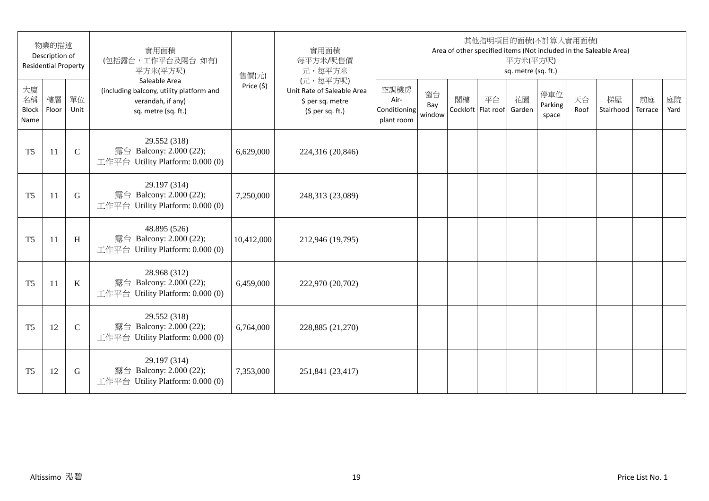|                                  | 物業的描述<br>Description of<br><b>Residential Property</b> |               | 實用面積<br>(包括露台,工作平台及陽台如有)<br>平方米(平方呎)                                                                  | 售價(元)      | 實用面積<br>每平方米/呎售價<br>元,每平方米                                                      |                                            |                     |    |                          | 平方米(平方呎)<br>sq. metre (sq. ft.) | 其他指明項目的面積(不計算入實用面積)     |            | Area of other specified items (Not included in the Saleable Area) |               |            |
|----------------------------------|--------------------------------------------------------|---------------|-------------------------------------------------------------------------------------------------------|------------|---------------------------------------------------------------------------------|--------------------------------------------|---------------------|----|--------------------------|---------------------------------|-------------------------|------------|-------------------------------------------------------------------|---------------|------------|
| 大廈<br>名稱<br><b>Block</b><br>Name | 樓層<br>Floor                                            | 單位<br>Unit    | Saleable Area<br>(including balcony, utility platform and<br>verandah, if any)<br>sq. metre (sq. ft.) | Price (\$) | (元,每平方呎)<br>Unit Rate of Saleable Area<br>\$ per sq. metre<br>$(5$ per sq. ft.) | 空調機房<br>Air-<br>Conditioning<br>plant room | 窗台<br>Bay<br>window | 閣樓 | 平台<br>Cockloft Flat roof | 花園<br>Garden                    | 停車位<br>Parking<br>space | 天台<br>Roof | 梯屋<br>Stairhood                                                   | 前庭<br>Terrace | 庭院<br>Yard |
| T <sub>5</sub>                   | 11                                                     | $\mathcal{C}$ | 29.552 (318)<br>露台 Balcony: 2.000 (22);<br>工作平台 Utility Platform: 0.000 (0)                           | 6,629,000  | 224,316 (20,846)                                                                |                                            |                     |    |                          |                                 |                         |            |                                                                   |               |            |
| T <sub>5</sub>                   | 11                                                     | G             | 29.197 (314)<br>露台 Balcony: 2.000 (22);<br>工作平台 Utility Platform: 0.000 (0)                           | 7,250,000  | 248,313 (23,089)                                                                |                                            |                     |    |                          |                                 |                         |            |                                                                   |               |            |
| T <sub>5</sub>                   | 11                                                     | H             | 48.895 (526)<br>露台 Balcony: 2.000 (22);<br>工作平台 Utility Platform: 0.000 (0)                           | 10,412,000 | 212,946 (19,795)                                                                |                                            |                     |    |                          |                                 |                         |            |                                                                   |               |            |
| T <sub>5</sub>                   | 11                                                     | $\mathbf K$   | 28.968 (312)<br>露台 Balcony: 2.000 (22);<br>工作平台 Utility Platform: 0.000 (0)                           | 6,459,000  | 222,970 (20,702)                                                                |                                            |                     |    |                          |                                 |                         |            |                                                                   |               |            |
| T <sub>5</sub>                   | 12                                                     | $\mathbf C$   | 29.552 (318)<br>露台 Balcony: 2.000 (22);<br>工作平台 Utility Platform: 0.000 (0)                           | 6,764,000  | 228,885 (21,270)                                                                |                                            |                     |    |                          |                                 |                         |            |                                                                   |               |            |
| T <sub>5</sub>                   | 12                                                     | G             | 29.197 (314)<br>露台 Balcony: 2.000 (22);<br>工作平台 Utility Platform: 0.000 (0)                           | 7,353,000  | 251,841 (23,417)                                                                |                                            |                     |    |                          |                                 |                         |            |                                                                   |               |            |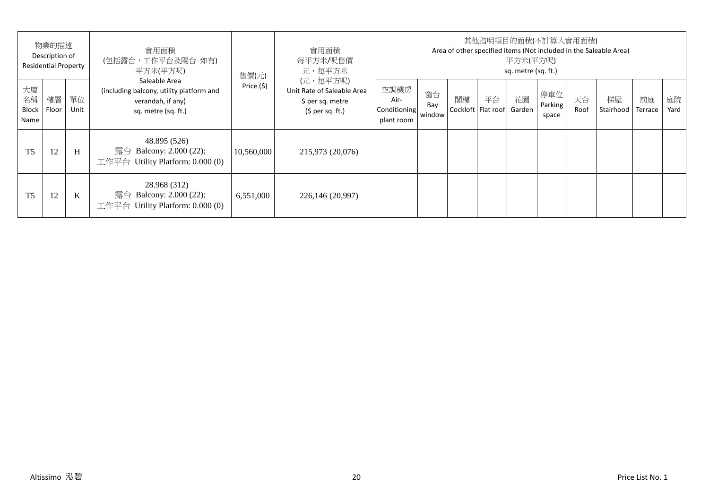|                                  | 物業的描述<br>Description of<br><b>Residential Property</b> |            | 實用面積<br>(包括露台,工作平台及陽台如有)<br>平方米(平方呎)                                                                  | 售價(元)      | 實用面積<br>每平方米/呎售價<br>元,每平方米                                                      |                                            |                     |    | 其他指明項目的面積(不計算入實用面積)      | 平方米(平方呎)<br>sq. metre (sq. ft.) |                         |            | Area of other specified items (Not included in the Saleable Area) |               |            |
|----------------------------------|--------------------------------------------------------|------------|-------------------------------------------------------------------------------------------------------|------------|---------------------------------------------------------------------------------|--------------------------------------------|---------------------|----|--------------------------|---------------------------------|-------------------------|------------|-------------------------------------------------------------------|---------------|------------|
| 大廈<br>名稱<br><b>Block</b><br>Name | 樓層<br>Floor                                            | 單位<br>Unit | Saleable Area<br>(including balcony, utility platform and<br>verandah, if any)<br>sq. metre (sq. ft.) | Price (\$) | (元,每平方呎)<br>Unit Rate of Saleable Area<br>\$ per sq. metre<br>$(5$ per sq. ft.) | 空調機房<br>Air-<br>Conditioning<br>plant room | 窗台<br>Bay<br>window | 閣樓 | 平台<br>Cockloft Flat roof | 花園<br>Garden                    | 停車位<br>Parking<br>space | 天台<br>Roof | 梯屋<br>Stairhood                                                   | 前庭<br>Terrace | 庭院<br>Yard |
| T <sub>5</sub>                   | 12                                                     | H          | 48.895 (526)<br>露台 Balcony: $2.000(22)$ ;<br>工作平台 Utility Platform: $0.000(0)$                        | 10,560,000 | 215,973 (20,076)                                                                |                                            |                     |    |                          |                                 |                         |            |                                                                   |               |            |
| T <sub>5</sub>                   | 12                                                     | K          | 28.968 (312)<br>露台 Balcony: $2.000(22)$ ;<br>Utility Platform: 0.000 (0)<br>工作平台                      | 6,551,000  | 226,146 (20,997)                                                                |                                            |                     |    |                          |                                 |                         |            |                                                                   |               |            |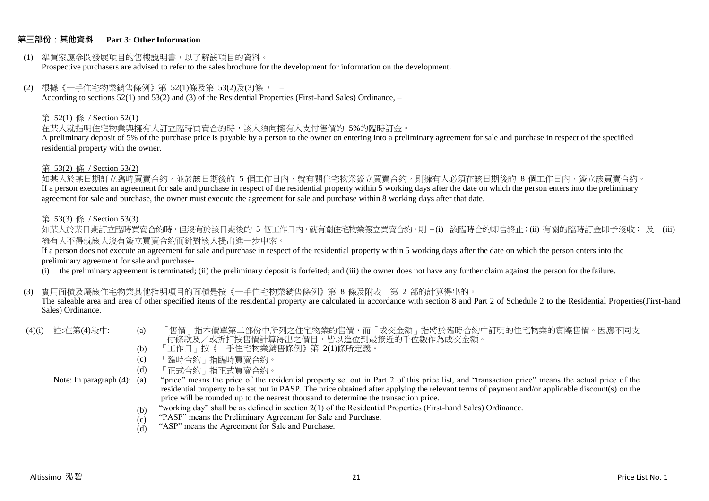#### **第三部份:其他資料 Part 3: Other Information**

- (1) 準買家應參閱發展項目的售樓說明書,以了解該項目的資料。 Prospective purchasers are advised to refer to the sales brochure for the development for information on the development.
- (2) 根據《一手住宅物業銷售條例》第 52(1)條及第 53(2)及(3)條 , According to sections 52(1) and 53(2) and (3) of the Residential Properties (First-hand Sales) Ordinance, –

#### 第 52(1) 條 / Section 52(1)

在某人就指明住宅物業與擁有人訂立臨時買賣合約時,該人須向擁有人支付售價的 5%的臨時訂金。

A preliminary deposit of 5% of the purchase price is payable by a person to the owner on entering into a preliminary agreement for sale and purchase in respect of the specified residential property with the owner.

#### 第 53(2) 條 / Section 53(2)

如某人於某日期訂立臨時買賣合約,並於該日期後的 5 個工作日内,就有關住宅物業簽立買賣合約,則擁有人必須在該日期後的 8 個工作日内,簽立該買賣合約。 If a person executes an agreement for sale and purchase in respect of the residential property within 5 working days after the date on which the person enters into the preliminary agreement for sale and purchase, the owner must execute the agreement for sale and purchase within 8 working days after that date.

#### 第 53(3) 條 / Section 53(3)

如某人於某日期訂立臨時買賣合約時,但沒有於該日期後的 5 個工作日内,就有關住宅物業簽立買賣合約,則 – (i) 該臨時合約即告終止;(ii) 有關的臨時訂金即予沒收; 及 (iii) 擁有人不得就該人沒有簽立買賣合約而針對該人提出進一步申索。

If a person does not execute an agreement for sale and purchase in respect of the residential property within 5 working days after the date on which the person enters into the preliminary agreement for sale and purchase-

(i) the preliminary agreement is terminated; (ii) the preliminary deposit is forfeited; and (iii) the owner does not have any further claim against the person for the failure.

#### (3) 實用面積及屬該住宅物業其他指明項目的面積是按《一手住宅物業銷售條例》第 8 條及附表二第 2 部的計算得出的。

The saleable area and area of other specified items of the residential property are calculated in accordance with section 8 and Part 2 of Schedule 2 to the Residential Properties(First-hand Sales) Ordinance.

| (4)(i) 註:在第(4)段中: | 「售價」指本價單第二部份中所列之住宅物業的售價,而「成交金額」指將於臨時合約中訂明的住宅物業的實際售價。因應不同支 |  |
|-------------------|-----------------------------------------------------------|--|
|                   | 无故事后! 不是长起的 医扁桃体 医外耳中心 医口下下的 医心包 医无间歇 医心包下垂 医血管反应 医心包     |  |

- 付條款及/或折扣按售價計算得出之價目,皆以進位到最接近的十位數作為成交金額。
	- (b) 「工作日」按《一手住宅物業銷售條例》第 2(1)條所定義。
	- (c) 「臨時合約」指臨時買賣合約。
	- (d) 「正式合約」指正式買賣合約。
- Note: In paragraph (4): (a)
- "price" means the price of the residential property set out in Part 2 of this price list, and "transaction price" means the actual price of the residential property to be set out in PASP. The price obtained after applying the relevant terms of payment and/or applicable discount(s) on the price will be rounded up to the nearest thousand to determine the transaction price.
	- (b) "working day" shall be as defined in section 2(1) of the Residential Properties (First-hand Sales) Ordinance.
	- (c) "PASP" means the Preliminary Agreement for Sale and Purchase.
	- (d) "ASP" means the Agreement for Sale and Purchase.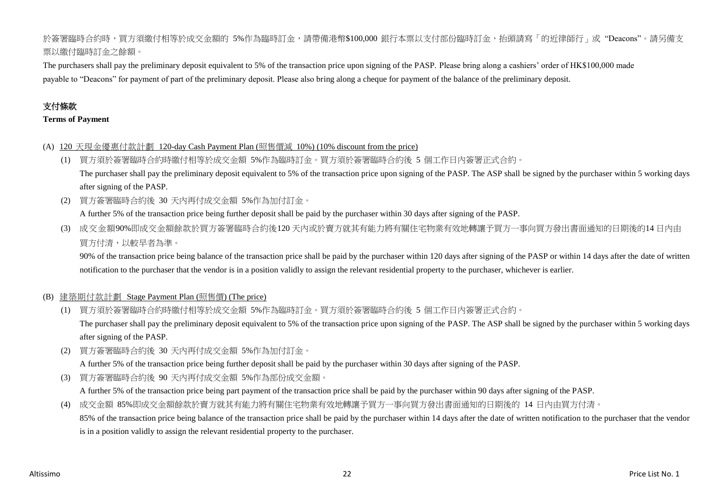# 於簽署臨時合約時,買方須繳付相等於成交金額的 5%作為臨時訂金,請帶備港幣\$100,000 銀行本票以支付部份臨時訂金,抬頭請寫「的近律師行」或"Deacons"。請另備支 票以繳付臨時訂金之餘額。

The purchasers shall pay the preliminary deposit equivalent to 5% of the transaction price upon signing of the PASP. Please bring along a cashiers' order of HK\$100,000 made payable to "Deacons" for payment of part of the preliminary deposit. Please also bring along a cheque for payment of the balance of the preliminary deposit.

# 支付條款

#### **Terms of Payment**

- (A) 120 天現金優惠付款計劃 120-day Cash Payment Plan (照售價減 10%) (10% discount from the price)
	- (1) 買方須於簽署臨時合約時繳付相等於成交金額 5%作為臨時訂金。買方須於簽署臨時合約後 5 個工作日內簽署正式合約。 The purchaser shall pay the preliminary deposit equivalent to 5% of the transaction price upon signing of the PASP. The ASP shall be signed by the purchaser within 5 working days after signing of the PASP.
	- (2) 買方簽署臨時合約後 30 天內再付成交金額 5%作為加付訂金。

A further 5% of the transaction price being further deposit shall be paid by the purchaser within 30 days after signing of the PASP.

(3) 成交金額90%即成交金額餘款於買方簽署臨時合約後120 天內或於賣方就其有能力將有關住宅物業有效地轉讓予買方一事向買方發出書面通知的日期後的14 日內由 買方付清,以較早者為準。

90% of the transaction price being balance of the transaction price shall be paid by the purchaser within 120 days after signing of the PASP or within 14 days after the date of written notification to the purchaser that the vendor is in a position validly to assign the relevant residential property to the purchaser, whichever is earlier.

#### (B) 建築期付款計劃 Stage Payment Plan (照售價) (The price)

(1) 買方須於簽署臨時合約時繳付相等於成交金額 5%作為臨時訂金。買方須於簽署臨時合約後 5 個工作日內簽署正式合約。 The purchaser shall pay the preliminary deposit equivalent to 5% of the transaction price upon signing of the PASP. The ASP shall be signed by the purchaser within 5 working days

after signing of the PASP.

(2) 買方簽署臨時合約後 30 天內再付成交金額 5%作為加付訂金。

A further 5% of the transaction price being further deposit shall be paid by the purchaser within 30 days after signing of the PASP.

(3) 買方簽署臨時合約後 90 天內再付成交金額 5%作為部份成交金額。

A further 5% of the transaction price being part payment of the transaction price shall be paid by the purchaser within 90 days after signing of the PASP.

(4) 成交金額 85%即成交金額餘款於賣方就其有能力將有關住宅物業有效地轉讓予買方一事向買方發出書面通知的日期後的 14 日內由買方付清。 85% of the transaction price being balance of the transaction price shall be paid by the purchaser within 14 days after the date of written notification to the purchaser that the vendor is in a position validly to assign the relevant residential property to the purchaser.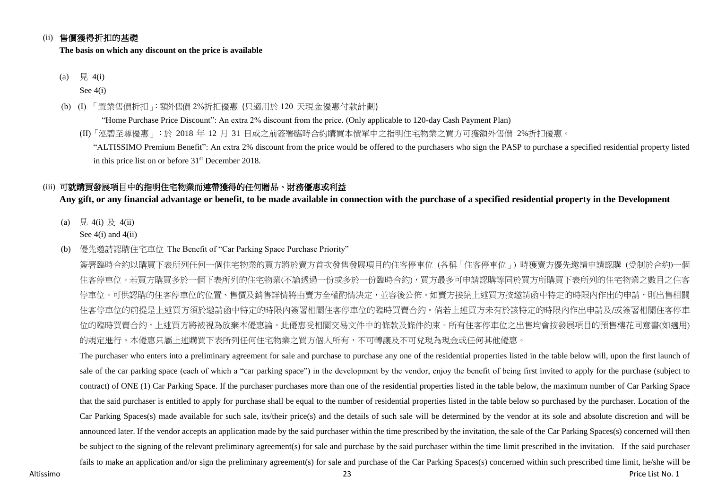## (ii) 售價獲得折扣的基礎

**The basis on which any discount on the price is available**

(a)  $\quad \nexists. 4(i)$ 

See 4(i)

- (b) (I) 「置業售價折扣」:額外售價 2%折扣優惠 (只適用於 120 天現金優惠付款計劃)
	- "Home Purchase Price Discount": An extra 2% discount from the price. (Only applicable to 120-day Cash Payment Plan) (II)「泓碧至尊優惠」:於 2018 年 12 月 31 日或之前簽署臨時合約購買本價單中之指明住宅物業之買方可獲額外售價 2%折扣優惠。
		- "ALTISSIMO Premium Benefit": An extra 2% discount from the price would be offered to the purchasers who sign the PASP to purchase a specified residential property listed in this price list on or before 31<sup>st</sup> December 2018.

## (iii) 可就購買發展項目中的指明住宅物業而連帶獲得的任何贈品、財務優惠或利益

**Any gift, or any financial advantage or benefit, to be made available in connection with the purchase of a specified residential property in the Development**

- (a) 見 4(i) 及 4(ii) See  $4(i)$  and  $4(ii)$
- (b) 優先邀請認購住宅車位 The Benefit of "Car Parking Space Purchase Priority"

簽署臨時合約以購買下表所列任何一個住宅物業的買方將於賣方首次發售發展項目的住客停車位 (各稱「住客停車位」) 時獲賣方優先邀請申請認購 (受制於合約)一個 住客停車位。若買方購買多於一個下表所列的住宅物業(不論透過一份或多於一份臨時合約),買方最多可申請認購等同於買方所購買下表所列的住宅物業之數目之住客 停車位。可供認購的住客停車位的位置、售價及銷售詳情將由賣方全權酌情決定,並容後公佈。如賣方接納上述買方按激請函中特定的時限內作出的申請,則出售相關 住客停車位的前提是上述買方須於邀請函中特定的時限內簽署相關住客停車位的臨時買賣合約。倘若上述買方未有於該特定的時限內作出申請及/或簽署相關住客停車 位的臨時買賣合約,上述買方將被視為放棄本優惠論。此優惠受相關交易文件中的條款及條件約束。所有住客停車位之出售均會按發展項目的預售樓花同意書(如適用) 的規定進行。本優惠只屬上述購買下表所列任何住宅物業之買方個人所有,不可轉讓及不可兌現為現金或任何其他優惠。

The purchaser who enters into a preliminary agreement for sale and purchase to purchase any one of the residential properties listed in the table below will, upon the first launch of sale of the car parking space (each of which a "car parking space") in the development by the vendor, enjoy the benefit of being first invited to apply for the purchase (subject to contract) of ONE (1) Car Parking Space. If the purchaser purchases more than one of the residential properties listed in the table below, the maximum number of Car Parking Space that the said purchaser is entitled to apply for purchase shall be equal to the number of residential properties listed in the table below so purchased by the purchaser. Location of the Car Parking Spaces(s) made available for such sale, its/their price(s) and the details of such sale will be determined by the vendor at its sole and absolute discretion and will be announced later. If the vendor accepts an application made by the said purchaser within the time prescribed by the invitation, the sale of the Car Parking Spaces(s) concerned will then be subject to the signing of the relevant preliminary agreement(s) for sale and purchase by the said purchaser within the time limit prescribed in the invitation. If the said purchaser fails to make an application and/or sign the preliminary agreement(s) for sale and purchase of the Car Parking Spaces(s) concerned within such prescribed time limit, he/she will be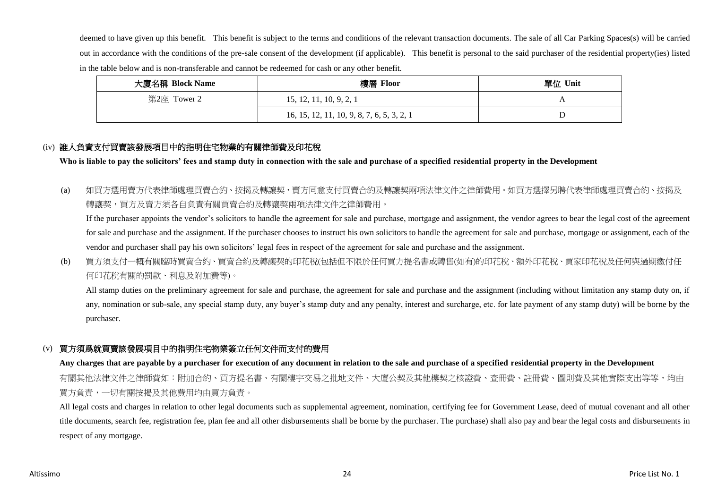deemed to have given up this benefit. This benefit is subject to the terms and conditions of the relevant transaction documents. The sale of all Car Parking Spaces(s) will be carried out in accordance with the conditions of the pre-sale consent of the development (if applicable). This benefit is personal to the said purchaser of the residential property(ies) listed in the table below and is non-transferable and cannot be redeemed for cash or any other benefit.

| 大廈名稱 Block Name | 樓層 Floor                                   | 單位 Unit |
|-----------------|--------------------------------------------|---------|
| 第2座 Tower 2     | 15, 12, 11, 10, 9, 2, 1                    |         |
|                 | 16, 15, 12, 11, 10, 9, 8, 7, 6, 5, 3, 2, 1 |         |

# (iv) 誰人負責支付買賣該發展項目中的指明住宅物業的有關律師費及印花稅

**Who is liable to pay the solicitors' fees and stamp duty in connection with the sale and purchase of a specified residential property in the Development**

(a) 如買方選用賣方代表律師處理買賣合約、按揭及轉讓契,賣方同意支付買賣合約及轉讓契兩項法律文件之律師費用。如買方選擇另聘代表律師處理買賣合約、按揭及 轉讓契,買方及賣方須各自負責有關買賣合約及轉讓契兩項法律文件之律師費用。

If the purchaser appoints the vendor's solicitors to handle the agreement for sale and purchase, mortgage and assignment, the vendor agrees to bear the legal cost of the agreement for sale and purchase and the assignment. If the purchaser chooses to instruct his own solicitors to handle the agreement for sale and purchase, mortgage or assignment, each of the vendor and purchaser shall pay his own solicitors' legal fees in respect of the agreement for sale and purchase and the assignment.

(b) 買方須支付一概有關臨時買賣合約、買賣合約及轉讓契的印花稅(包括但不限於任何買方提名書或轉售(如有)的印花稅、額外印花稅、買家印花稅及任何與過期繳付任 何印花稅有關的罰款、利息及附加費等)。

All stamp duties on the preliminary agreement for sale and purchase, the agreement for sale and purchase and the assignment (including without limitation any stamp duty on, if any, nomination or sub-sale, any special stamp duty, any buyer's stamp duty and any penalty, interest and surcharge, etc. for late payment of any stamp duty) will be borne by the purchaser.

# (v) 買方須爲就買賣該發展項目中的指明住宅物業簽立任何文件而支付的費用

#### **Any charges that are payable by a purchaser for execution of any document in relation to the sale and purchase of a specified residential property in the Development**

有關其他法律文件之律師費如:附加合約、買方提名書、有關樓宇交易之批地文件、大廈公契及其他樓契之核證費、查冊費、註冊費、圖則費及其他實際支出等等,均由 買方負責,一切有關按揭及其他費用均由買方負責。

All legal costs and charges in relation to other legal documents such as supplemental agreement, nomination, certifying fee for Government Lease, deed of mutual covenant and all other title documents, search fee, registration fee, plan fee and all other disbursements shall be borne by the purchaser. The purchase) shall also pay and bear the legal costs and disbursements in respect of any mortgage.